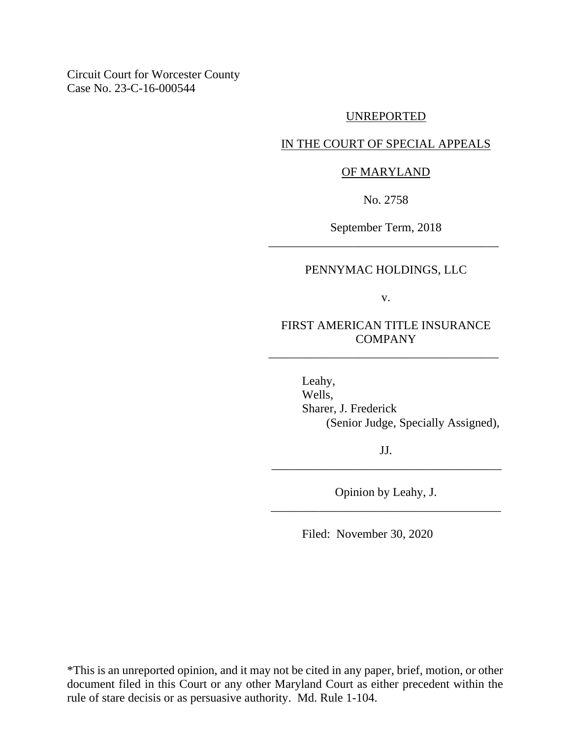Circuit Court for Worcester County Case No. 23-C-16-000544

#### UNREPORTED

### IN THE COURT OF SPECIAL APPEALS

#### OF MARYLAND

No. 2758

September Term, 2018 \_\_\_\_\_\_\_\_\_\_\_\_\_\_\_\_\_\_\_\_\_\_\_\_\_\_\_\_\_\_\_\_\_\_\_\_\_\_

### PENNYMAC HOLDINGS, LLC

v.

## FIRST AMERICAN TITLE INSURANCE **COMPANY**

\_\_\_\_\_\_\_\_\_\_\_\_\_\_\_\_\_\_\_\_\_\_\_\_\_\_\_\_\_\_\_\_\_\_\_\_\_\_

Leahy, Wells, Sharer, J. Frederick (Senior Judge, Specially Assigned),

JJ. \_\_\_\_\_\_\_\_\_\_\_\_\_\_\_\_\_\_\_\_\_\_\_\_\_\_\_\_\_\_\_\_\_\_\_\_\_\_

Opinion by Leahy, J. \_\_\_\_\_\_\_\_\_\_\_\_\_\_\_\_\_\_\_\_\_\_\_\_\_\_\_\_\_\_\_\_\_\_\_\_\_\_

Filed: November 30, 2020

\*This is an unreported opinion, and it may not be cited in any paper, brief, motion, or other document filed in this Court or any other Maryland Court as either precedent within the rule of stare decisis or as persuasive authority. Md. Rule 1-104.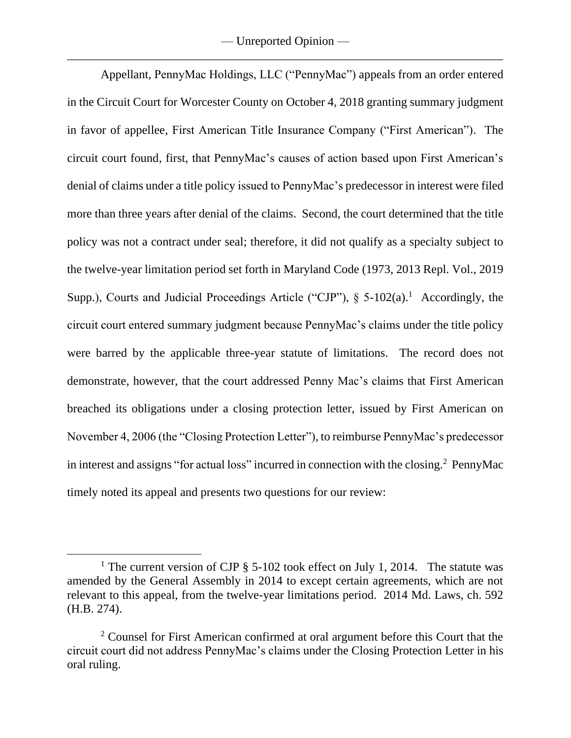— Unreported Opinion — \_\_\_\_\_\_\_\_\_\_\_\_\_\_\_\_\_\_\_\_\_\_\_\_\_\_\_\_\_\_\_\_\_\_\_\_\_\_\_\_\_\_\_\_\_\_\_\_\_\_\_\_\_\_\_\_\_\_\_\_\_\_\_\_\_\_\_\_\_\_\_\_

Appellant, PennyMac Holdings, LLC ("PennyMac") appeals from an order entered in the Circuit Court for Worcester County on October 4, 2018 granting summary judgment in favor of appellee, First American Title Insurance Company ("First American"). The circuit court found, first, that PennyMac's causes of action based upon First American's denial of claims under a title policy issued to PennyMac's predecessor in interest were filed more than three years after denial of the claims. Second, the court determined that the title policy was not a contract under seal; therefore, it did not qualify as a specialty subject to the twelve-year limitation period set forth in Maryland Code (1973, 2013 Repl. Vol., 2019 Supp.), Courts and Judicial Proceedings Article ("CJP"),  $\S$  5-102(a).<sup>1</sup> Accordingly, the circuit court entered summary judgment because PennyMac's claims under the title policy were barred by the applicable three-year statute of limitations. The record does not demonstrate, however, that the court addressed Penny Mac's claims that First American breached its obligations under a closing protection letter, issued by First American on November 4, 2006 (the "Closing Protection Letter"), to reimburse PennyMac's predecessor in interest and assigns "for actual loss" incurred in connection with the closing.<sup>2</sup> PennyMac timely noted its appeal and presents two questions for our review:

<sup>&</sup>lt;sup>1</sup> The current version of CJP  $\S$  5-102 took effect on July 1, 2014. The statute was amended by the General Assembly in 2014 to except certain agreements, which are not relevant to this appeal, from the twelve-year limitations period. 2014 Md. Laws, ch. 592 (H.B. 274).

<sup>&</sup>lt;sup>2</sup> Counsel for First American confirmed at oral argument before this Court that the circuit court did not address PennyMac's claims under the Closing Protection Letter in his oral ruling.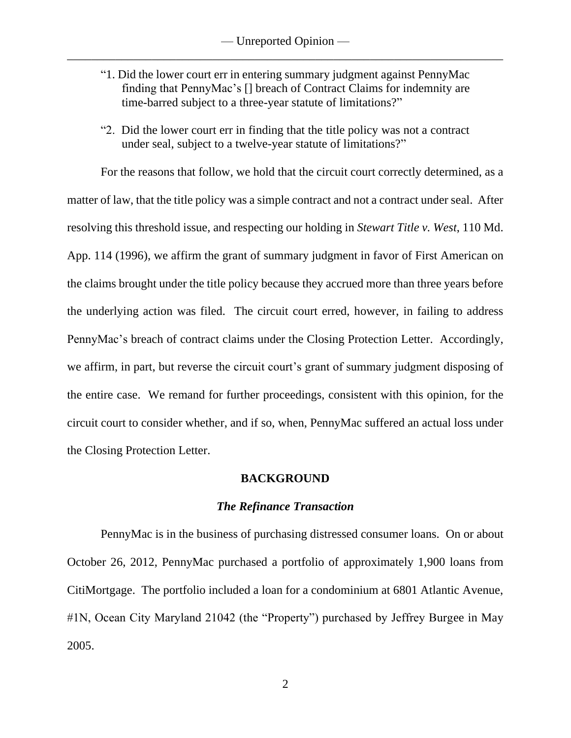- "1. Did the lower court err in entering summary judgment against PennyMac finding that PennyMac's [] breach of Contract Claims for indemnity are time-barred subject to a three-year statute of limitations?"
- "2. Did the lower court err in finding that the title policy was not a contract under seal, subject to a twelve-year statute of limitations?"

For the reasons that follow, we hold that the circuit court correctly determined, as a matter of law, that the title policy was a simple contract and not a contract under seal. After resolving this threshold issue, and respecting our holding in *Stewart Title v. West*, 110 Md. App. 114 (1996), we affirm the grant of summary judgment in favor of First American on the claims brought under the title policy because they accrued more than three years before the underlying action was filed. The circuit court erred, however, in failing to address PennyMac's breach of contract claims under the Closing Protection Letter. Accordingly, we affirm, in part, but reverse the circuit court's grant of summary judgment disposing of the entire case. We remand for further proceedings, consistent with this opinion, for the circuit court to consider whether, and if so, when, PennyMac suffered an actual loss under the Closing Protection Letter.

### **BACKGROUND**

#### *The Refinance Transaction*

PennyMac is in the business of purchasing distressed consumer loans. On or about October 26, 2012, PennyMac purchased a portfolio of approximately 1,900 loans from CitiMortgage. The portfolio included a loan for a condominium at 6801 Atlantic Avenue, #1N, Ocean City Maryland 21042 (the "Property") purchased by Jeffrey Burgee in May 2005.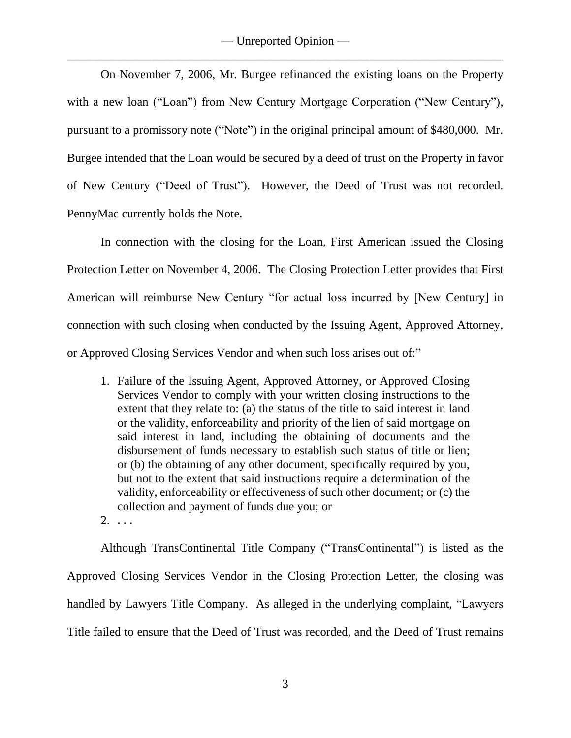On November 7, 2006, Mr. Burgee refinanced the existing loans on the Property with a new loan ("Loan") from New Century Mortgage Corporation ("New Century"), pursuant to a promissory note ("Note") in the original principal amount of \$480,000. Mr. Burgee intended that the Loan would be secured by a deed of trust on the Property in favor of New Century ("Deed of Trust"). However, the Deed of Trust was not recorded. PennyMac currently holds the Note.

In connection with the closing for the Loan, First American issued the Closing Protection Letter on November 4, 2006.The Closing Protection Letter provides that First American will reimburse New Century "for actual loss incurred by [New Century] in connection with such closing when conducted by the Issuing Agent, Approved Attorney, or Approved Closing Services Vendor and when such loss arises out of:"

- 1. Failure of the Issuing Agent, Approved Attorney, or Approved Closing Services Vendor to comply with your written closing instructions to the extent that they relate to: (a) the status of the title to said interest in land or the validity, enforceability and priority of the lien of said mortgage on said interest in land, including the obtaining of documents and the disbursement of funds necessary to establish such status of title or lien; or (b) the obtaining of any other document, specifically required by you, but not to the extent that said instructions require a determination of the validity, enforceability or effectiveness of such other document; or (c) the collection and payment of funds due you; or
- 2. **. . .**

Although TransContinental Title Company ("TransContinental") is listed as the Approved Closing Services Vendor in the Closing Protection Letter, the closing was handled by Lawyers Title Company. As alleged in the underlying complaint, "Lawyers Title failed to ensure that the Deed of Trust was recorded, and the Deed of Trust remains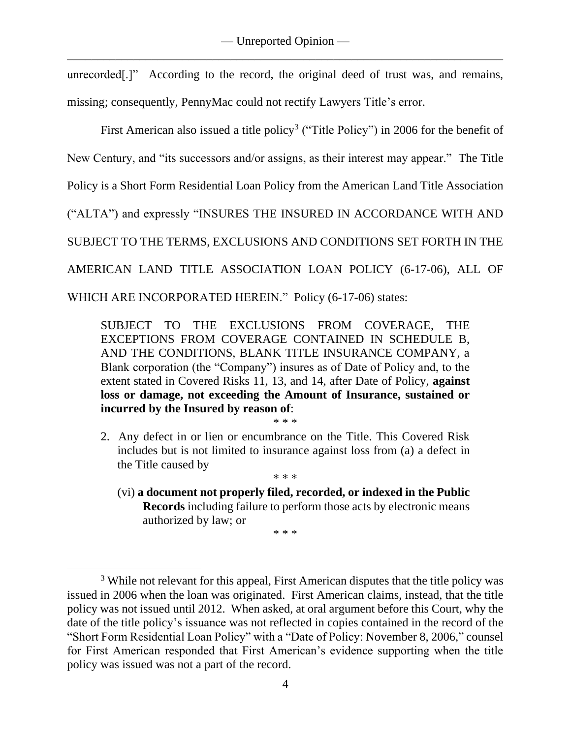unrecorded<sup>[1]</sup>" According to the record, the original deed of trust was, and remains, missing; consequently, PennyMac could not rectify Lawyers Title's error.

First American also issued a title policy<sup>3</sup> ("Title Policy") in 2006 for the benefit of

New Century, and "its successors and/or assigns, as their interest may appear." The Title

Policy is a Short Form Residential Loan Policy from the American Land Title Association

("ALTA") and expressly "INSURES THE INSURED IN ACCORDANCE WITH AND

SUBJECT TO THE TERMS, EXCLUSIONS AND CONDITIONS SET FORTH IN THE

AMERICAN LAND TITLE ASSOCIATION LOAN POLICY (6-17-06), ALL OF

WHICH ARE INCORPORATED HEREIN."Policy (6-17-06) states:

SUBJECT TO THE EXCLUSIONS FROM COVERAGE, THE EXCEPTIONS FROM COVERAGE CONTAINED IN SCHEDULE B, AND THE CONDITIONS, BLANK TITLE INSURANCE COMPANY, a Blank corporation (the "Company") insures as of Date of Policy and, to the extent stated in Covered Risks 11, 13, and 14, after Date of Policy, **against loss or damage, not exceeding the Amount of Insurance, sustained or incurred by the Insured by reason of**:

\* \* \*

2. Any defect in or lien or encumbrance on the Title. This Covered Risk includes but is not limited to insurance against loss from (a) a defect in the Title caused by

\* \* \*

(vi) **a document not properly filed, recorded, or indexed in the Public Records** including failure to perform those acts by electronic means authorized by law; or

<sup>\* \* \*</sup>

<sup>&</sup>lt;sup>3</sup> While not relevant for this appeal, First American disputes that the title policy was issued in 2006 when the loan was originated. First American claims, instead, that the title policy was not issued until 2012.When asked, at oral argument before this Court, why the date of the title policy's issuance was not reflected in copies contained in the record of the "Short Form Residential Loan Policy" with a "Date of Policy: November 8, 2006," counsel for First American responded that First American's evidence supporting when the title policy was issued was not a part of the record.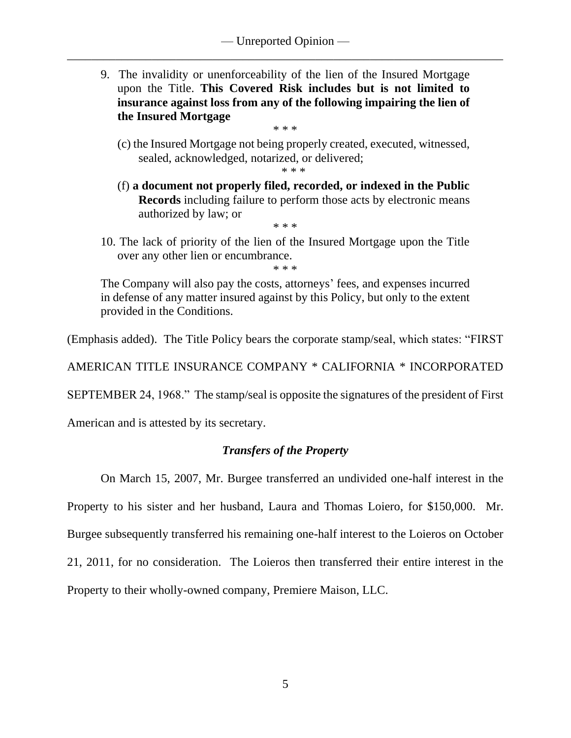9. The invalidity or unenforceability of the lien of the Insured Mortgage upon the Title. **This Covered Risk includes but is not limited to insurance against loss from any of the following impairing the lien of the Insured Mortgage**

\* \* \*

(c) the Insured Mortgage not being properly created, executed, witnessed, sealed, acknowledged, notarized, or delivered;

\* \* \*

(f) **a document not properly filed, recorded, or indexed in the Public Records** including failure to perform those acts by electronic means authorized by law; or

\* \* \*

10. The lack of priority of the lien of the Insured Mortgage upon the Title over any other lien or encumbrance. \* \* \*

The Company will also pay the costs, attorneys' fees, and expenses incurred in defense of any matter insured against by this Policy, but only to the extent provided in the Conditions.

(Emphasis added). The Title Policy bears the corporate stamp/seal, which states: "FIRST

AMERICAN TITLE INSURANCE COMPANY \* CALIFORNIA \* INCORPORATED

SEPTEMBER 24, 1968." The stamp/seal is opposite the signatures of the president of First

American and is attested by its secretary.

# *Transfers of the Property*

On March 15, 2007, Mr. Burgee transferred an undivided one-half interest in the

Property to his sister and her husband, Laura and Thomas Loiero, for \$150,000.Mr.

Burgee subsequently transferred his remaining one-half interest to the Loieros on October

21, 2011, for no consideration. The Loieros then transferred their entire interest in the

Property to their wholly-owned company, Premiere Maison, LLC.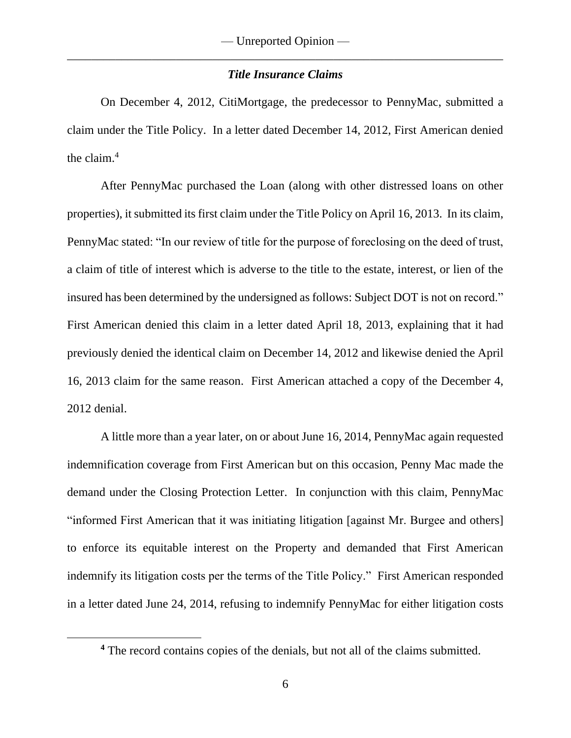### *Title Insurance Claims*

On December 4, 2012, CitiMortgage, the predecessor to PennyMac, submitted a claim under the Title Policy. In a letter dated December 14, 2012, First American denied the claim.<sup>4</sup>

After PennyMac purchased the Loan (along with other distressed loans on other properties), it submitted its first claim under the Title Policy on April 16, 2013. In its claim, PennyMac stated: "In our review of title for the purpose of foreclosing on the deed of trust, a claim of title of interest which is adverse to the title to the estate, interest, or lien of the insured has been determined by the undersigned as follows: Subject DOT is not on record." First American denied this claim in a letter dated April 18, 2013, explaining that it had previously denied the identical claim on December 14, 2012 and likewise denied the April 16, 2013 claim for the same reason. First American attached a copy of the December 4, 2012 denial.

A little more than a year later, on or about June 16, 2014, PennyMac again requested indemnification coverage from First American but on this occasion, Penny Mac made the demand under the Closing Protection Letter. In conjunction with this claim, PennyMac "informed First American that it was initiating litigation [against Mr. Burgee and others] to enforce its equitable interest on the Property and demanded that First American indemnify its litigation costs per the terms of the Title Policy." First American responded in a letter dated June 24, 2014, refusing to indemnify PennyMac for either litigation costs

**<sup>4</sup>** The record contains copies of the denials, but not all of the claims submitted.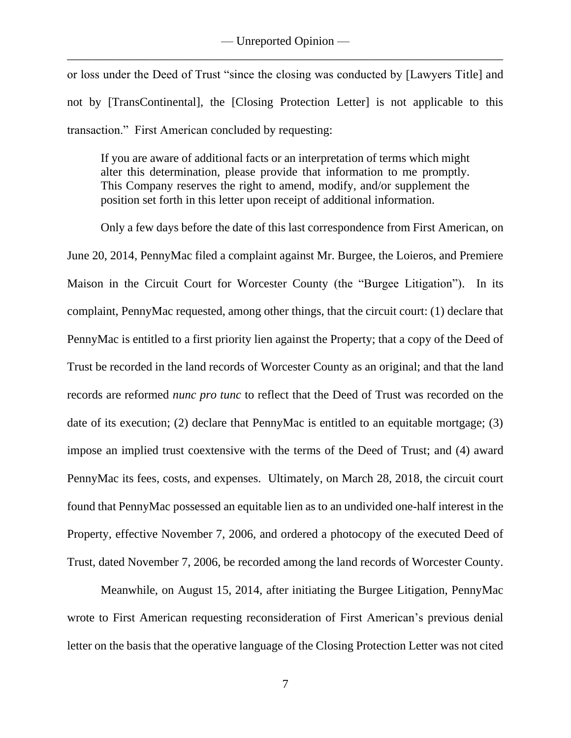or loss under the Deed of Trust "since the closing was conducted by [Lawyers Title] and not by [TransContinental], the [Closing Protection Letter] is not applicable to this transaction." First American concluded by requesting:

If you are aware of additional facts or an interpretation of terms which might alter this determination, please provide that information to me promptly. This Company reserves the right to amend, modify, and/or supplement the position set forth in this letter upon receipt of additional information.

Only a few days before the date of this last correspondence from First American, on June 20, 2014, PennyMac filed a complaint against Mr. Burgee, the Loieros, and Premiere Maison in the Circuit Court for Worcester County (the "Burgee Litigation"). In its complaint, PennyMac requested, among other things, that the circuit court: (1) declare that PennyMac is entitled to a first priority lien against the Property; that a copy of the Deed of Trust be recorded in the land records of Worcester County as an original; and that the land records are reformed *nunc pro tunc* to reflect that the Deed of Trust was recorded on the date of its execution; (2) declare that PennyMac is entitled to an equitable mortgage; (3) impose an implied trust coextensive with the terms of the Deed of Trust; and (4) award PennyMac its fees, costs, and expenses.Ultimately, on March 28, 2018, the circuit court found that PennyMac possessed an equitable lien as to an undivided one-half interest in the Property, effective November 7, 2006, and ordered a photocopy of the executed Deed of Trust, dated November 7, 2006, be recorded among the land records of Worcester County.

Meanwhile, on August 15, 2014, after initiating the Burgee Litigation, PennyMac wrote to First American requesting reconsideration of First American's previous denial letter on the basis that the operative language of the Closing Protection Letter was not cited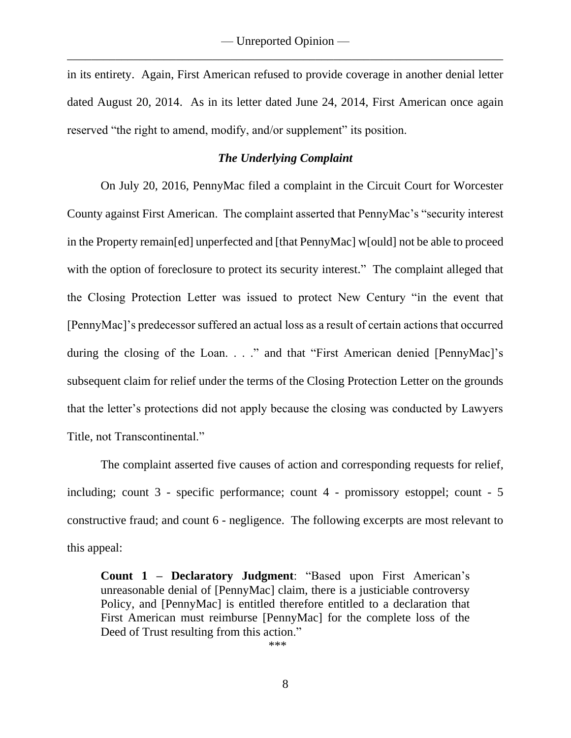in its entirety. Again, First American refused to provide coverage in another denial letter dated August 20, 2014. As in its letter dated June 24, 2014, First American once again reserved "the right to amend, modify, and/or supplement" its position.

### *The Underlying Complaint*

On July 20, 2016, PennyMac filed a complaint in the Circuit Court for Worcester County against First American. The complaint asserted that PennyMac's "security interest in the Property remain[ed] unperfected and [that PennyMac] w[ould] not be able to proceed with the option of foreclosure to protect its security interest." The complaint alleged that the Closing Protection Letter was issued to protect New Century "in the event that [PennyMac]'s predecessor suffered an actual loss as a result of certain actions that occurred during the closing of the Loan. . . ." and that "First American denied [PennyMac]'s subsequent claim for relief under the terms of the Closing Protection Letter on the grounds that the letter's protections did not apply because the closing was conducted by Lawyers Title, not Transcontinental."

The complaint asserted five causes of action and corresponding requests for relief, including; count 3 - specific performance; count 4 - promissory estoppel; count - 5 constructive fraud; and count 6 - negligence. The following excerpts are most relevant to this appeal:

**Count 1 – Declaratory Judgment**: "Based upon First American's unreasonable denial of [PennyMac] claim, there is a justiciable controversy Policy, and [PennyMac] is entitled therefore entitled to a declaration that First American must reimburse [PennyMac] for the complete loss of the Deed of Trust resulting from this action."

\*\*\*

8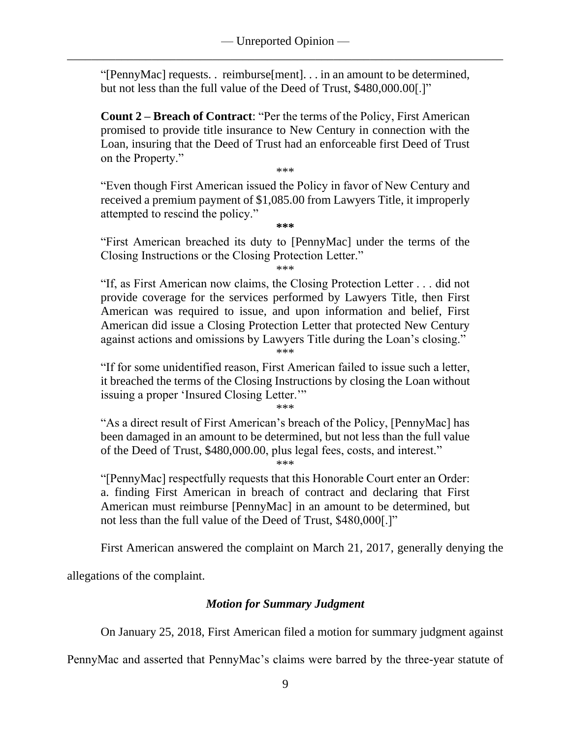"[PennyMac] requests. . reimburse[ment]. . . in an amount to be determined, but not less than the full value of the Deed of Trust, \$480,000.00[.]"

**Count 2 – Breach of Contract**: "Per the terms of the Policy, First American promised to provide title insurance to New Century in connection with the Loan, insuring that the Deed of Trust had an enforceable first Deed of Trust on the Property."

\*\*\*

"Even though First American issued the Policy in favor of New Century and received a premium payment of \$1,085.00 from Lawyers Title, it improperly attempted to rescind the policy."

**\*\*\***

"First American breached its duty to [PennyMac] under the terms of the Closing Instructions or the Closing Protection Letter."

\*\*\*

"If, as First American now claims, the Closing Protection Letter . . . did not provide coverage for the services performed by Lawyers Title, then First American was required to issue, and upon information and belief, First American did issue a Closing Protection Letter that protected New Century against actions and omissions by Lawyers Title during the Loan's closing." \*\*\*

"If for some unidentified reason, First American failed to issue such a letter, it breached the terms of the Closing Instructions by closing the Loan without issuing a proper 'Insured Closing Letter.'"

\*\*\*

"As a direct result of First American's breach of the Policy, [PennyMac] has been damaged in an amount to be determined, but not less than the full value of the Deed of Trust, \$480,000.00, plus legal fees, costs, and interest."

\*\*\*

"[PennyMac] respectfully requests that this Honorable Court enter an Order: a. finding First American in breach of contract and declaring that First American must reimburse [PennyMac] in an amount to be determined, but not less than the full value of the Deed of Trust, \$480,000[.]"

First American answered the complaint on March 21, 2017, generally denying the

allegations of the complaint.

## *Motion for Summary Judgment*

On January 25, 2018, First American filed a motion for summary judgment against

PennyMac and asserted that PennyMac's claims were barred by the three-year statute of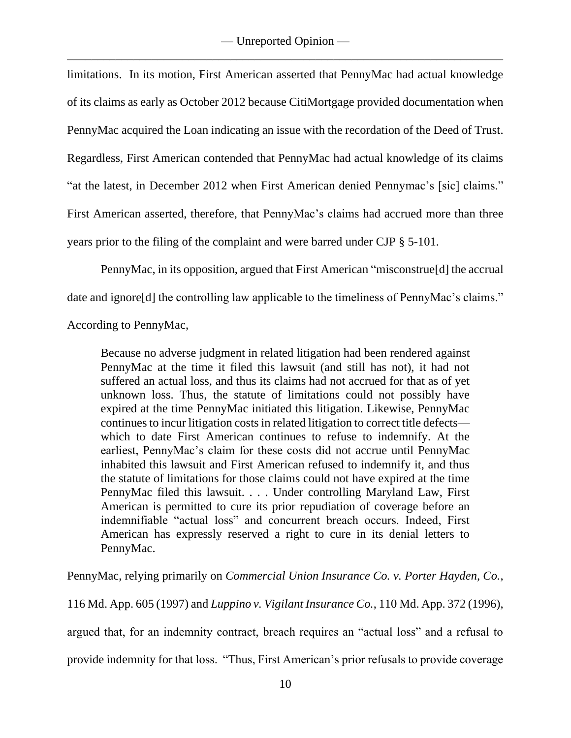limitations. In its motion, First American asserted that PennyMac had actual knowledge of its claims as early as October 2012 because CitiMortgage provided documentation when PennyMac acquired the Loan indicating an issue with the recordation of the Deed of Trust. Regardless, First American contended that PennyMac had actual knowledge of its claims "at the latest, in December 2012 when First American denied Pennymac's [sic] claims." First American asserted, therefore, that PennyMac's claims had accrued more than three years prior to the filing of the complaint and were barred under CJP § 5-101.

PennyMac, in its opposition, argued that First American "misconstrue[d] the accrual date and ignore[d] the controlling law applicable to the timeliness of PennyMac's claims."

According to PennyMac,

Because no adverse judgment in related litigation had been rendered against PennyMac at the time it filed this lawsuit (and still has not), it had not suffered an actual loss, and thus its claims had not accrued for that as of yet unknown loss. Thus, the statute of limitations could not possibly have expired at the time PennyMac initiated this litigation. Likewise, PennyMac continues to incur litigation costs in related litigation to correct title defects which to date First American continues to refuse to indemnify. At the earliest, PennyMac's claim for these costs did not accrue until PennyMac inhabited this lawsuit and First American refused to indemnify it, and thus the statute of limitations for those claims could not have expired at the time PennyMac filed this lawsuit. . . . Under controlling Maryland Law, First American is permitted to cure its prior repudiation of coverage before an indemnifiable "actual loss" and concurrent breach occurs. Indeed, First American has expressly reserved a right to cure in its denial letters to PennyMac.

PennyMac, relying primarily on *Commercial Union Insurance Co. v. Porter Hayden, Co.*,

116 Md. App. 605 (1997) and *Luppino v. Vigilant Insurance Co.*, 110 Md. App. 372 (1996),

argued that, for an indemnity contract, breach requires an "actual loss" and a refusal to

provide indemnity for that loss. "Thus, First American's prior refusals to provide coverage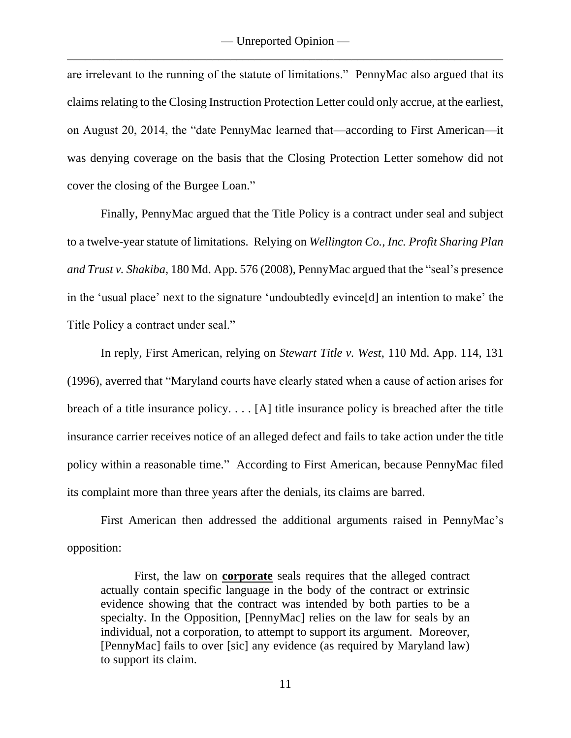are irrelevant to the running of the statute of limitations." PennyMac also argued that its claims relating to the Closing Instruction Protection Letter could only accrue, at the earliest, on August 20, 2014, the "date PennyMac learned that—according to First American—it was denying coverage on the basis that the Closing Protection Letter somehow did not cover the closing of the Burgee Loan."

Finally, PennyMac argued that the Title Policy is a contract under seal and subject to a twelve-year statute of limitations. Relying on *Wellington Co., Inc. Profit Sharing Plan and Trust v. Shakiba*, 180 Md. App. 576 (2008), PennyMac argued that the "seal's presence in the 'usual place' next to the signature 'undoubtedly evince[d] an intention to make' the Title Policy a contract under seal."

In reply, First American, relying on *Stewart Title v. West*, 110 Md. App. 114, 131 (1996), averred that "Maryland courts have clearly stated when a cause of action arises for breach of a title insurance policy. . . . [A] title insurance policy is breached after the title insurance carrier receives notice of an alleged defect and fails to take action under the title policy within a reasonable time." According to First American, because PennyMac filed its complaint more than three years after the denials, its claims are barred.

First American then addressed the additional arguments raised in PennyMac's opposition:

First, the law on **corporate** seals requires that the alleged contract actually contain specific language in the body of the contract or extrinsic evidence showing that the contract was intended by both parties to be a specialty. In the Opposition, [PennyMac] relies on the law for seals by an individual, not a corporation, to attempt to support its argument. Moreover, [PennyMac] fails to over [sic] any evidence (as required by Maryland law) to support its claim.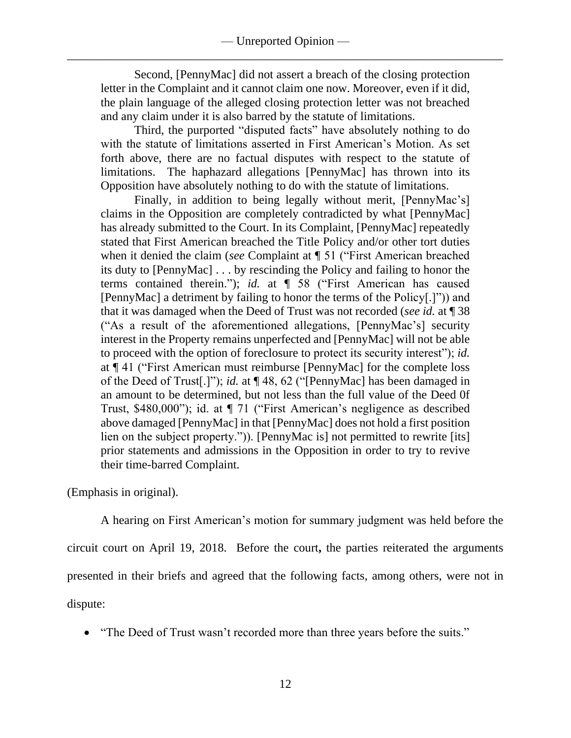Second, [PennyMac] did not assert a breach of the closing protection letter in the Complaint and it cannot claim one now. Moreover, even if it did, the plain language of the alleged closing protection letter was not breached and any claim under it is also barred by the statute of limitations.

Third, the purported "disputed facts" have absolutely nothing to do with the statute of limitations asserted in First American's Motion. As set forth above, there are no factual disputes with respect to the statute of limitations. The haphazard allegations [PennyMac] has thrown into its Opposition have absolutely nothing to do with the statute of limitations.

Finally, in addition to being legally without merit, [PennyMac's] claims in the Opposition are completely contradicted by what [PennyMac] has already submitted to the Court. In its Complaint, [PennyMac] repeatedly stated that First American breached the Title Policy and/or other tort duties when it denied the claim (*see* Complaint at ¶ 51 ("First American breached its duty to [PennyMac] . . . by rescinding the Policy and failing to honor the terms contained therein."); *id.* at ¶ 58 ("First American has caused [PennyMac] a detriment by failing to honor the terms of the Policy[.]")) and that it was damaged when the Deed of Trust was not recorded (*see id.* at ¶ 38 ("As a result of the aforementioned allegations, [PennyMac's] security interest in the Property remains unperfected and [PennyMac] will not be able to proceed with the option of foreclosure to protect its security interest"); *id.* at ¶ 41 ("First American must reimburse [PennyMac] for the complete loss of the Deed of Trust[.]"); *id.* at ¶ 48, 62 ("[PennyMac] has been damaged in an amount to be determined, but not less than the full value of the Deed 0f Trust, \$480,000"); id. at ¶ 71 ("First American's negligence as described above damaged [PennyMac] in that [PennyMac] does not hold a first position lien on the subject property.")). [PennyMac is] not permitted to rewrite [its] prior statements and admissions in the Opposition in order to try to revive their time-barred Complaint.

(Emphasis in original).

A hearing on First American's motion for summary judgment was held before the circuit court on April 19, 2018. Before the court**,** the parties reiterated the arguments presented in their briefs and agreed that the following facts, among others, were not in dispute:

• "The Deed of Trust wasn't recorded more than three years before the suits."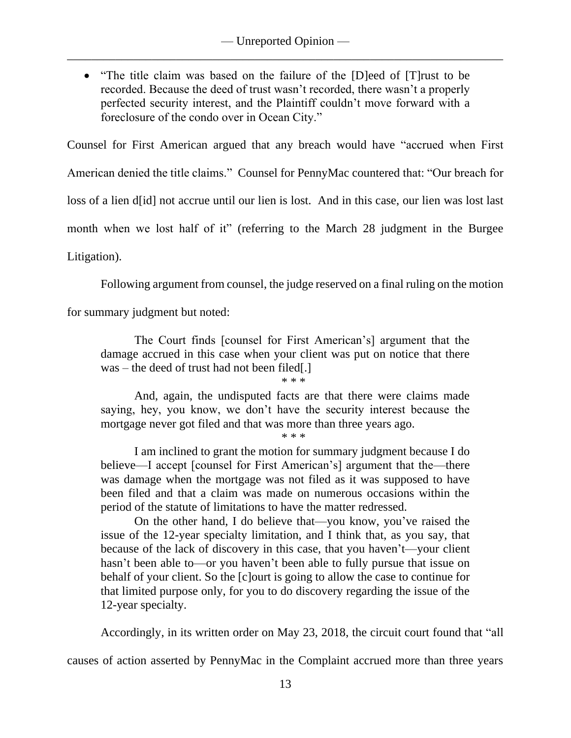• "The title claim was based on the failure of the [D]eed of [T] rust to be recorded. Because the deed of trust wasn't recorded, there wasn't a properly perfected security interest, and the Plaintiff couldn't move forward with a foreclosure of the condo over in Ocean City."

Counsel for First American argued that any breach would have "accrued when First

American denied the title claims." Counsel for PennyMac countered that: "Our breach for

loss of a lien d[id] not accrue until our lien is lost. And in this case, our lien was lost last

month when we lost half of it" (referring to the March 28 judgment in the Burgee

Litigation).

Following argument from counsel, the judge reserved on a final ruling on the motion

for summary judgment but noted:

The Court finds [counsel for First American's] argument that the damage accrued in this case when your client was put on notice that there was – the deed of trust had not been filed[.]

\* \* \*

And, again, the undisputed facts are that there were claims made saying, hey, you know, we don't have the security interest because the mortgage never got filed and that was more than three years ago.

\* \* \*

I am inclined to grant the motion for summary judgment because I do believe—I accept [counsel for First American's] argument that the—there was damage when the mortgage was not filed as it was supposed to have been filed and that a claim was made on numerous occasions within the period of the statute of limitations to have the matter redressed.

On the other hand, I do believe that—you know, you've raised the issue of the 12-year specialty limitation, and I think that, as you say, that because of the lack of discovery in this case, that you haven't—your client hasn't been able to—or you haven't been able to fully pursue that issue on behalf of your client. So the [c]ourt is going to allow the case to continue for that limited purpose only, for you to do discovery regarding the issue of the 12-year specialty.

Accordingly, in its written order on May 23, 2018, the circuit court found that "all

causes of action asserted by PennyMac in the Complaint accrued more than three years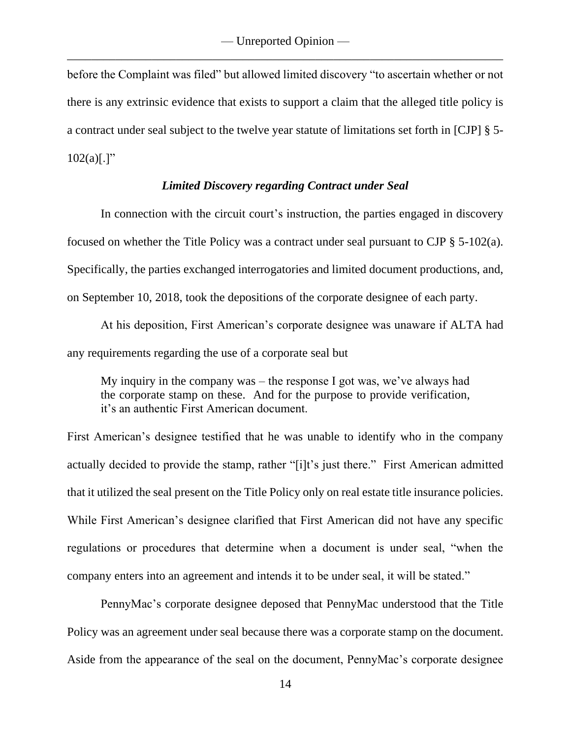before the Complaint was filed" but allowed limited discovery "to ascertain whether or not there is any extrinsic evidence that exists to support a claim that the alleged title policy is a contract under seal subject to the twelve year statute of limitations set forth in [CJP] § 5-  $102(a)[.]$ "

### *Limited Discovery regarding Contract under Seal*

In connection with the circuit court's instruction, the parties engaged in discovery focused on whether the Title Policy was a contract under seal pursuant to CJP § 5-102(a). Specifically, the parties exchanged interrogatories and limited document productions, and, on September 10, 2018, took the depositions of the corporate designee of each party.

At his deposition, First American's corporate designee was unaware if ALTA had any requirements regarding the use of a corporate seal but

My inquiry in the company was – the response I got was, we've always had the corporate stamp on these. And for the purpose to provide verification, it's an authentic First American document.

First American's designee testified that he was unable to identify who in the company actually decided to provide the stamp, rather "[i]t's just there." First American admitted that it utilized the seal present on the Title Policy only on real estate title insurance policies. While First American's designee clarified that First American did not have any specific regulations or procedures that determine when a document is under seal, "when the company enters into an agreement and intends it to be under seal, it will be stated."

PennyMac's corporate designee deposed that PennyMac understood that the Title Policy was an agreement under seal because there was a corporate stamp on the document. Aside from the appearance of the seal on the document, PennyMac's corporate designee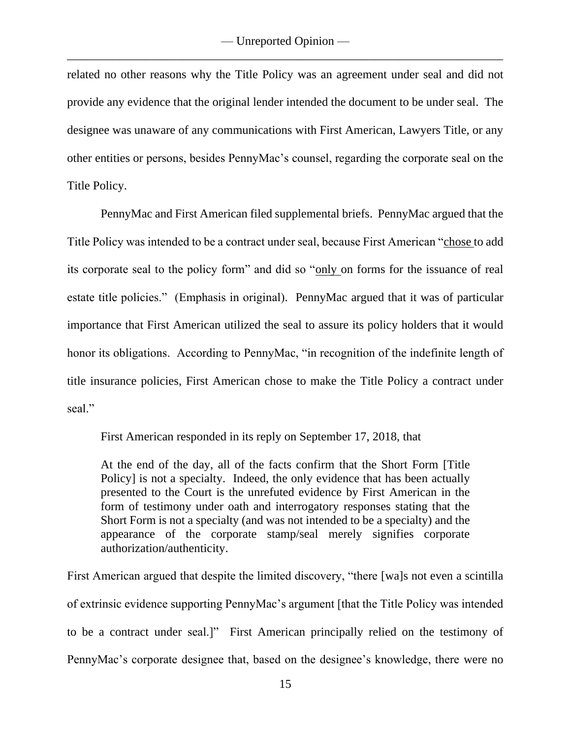related no other reasons why the Title Policy was an agreement under seal and did not provide any evidence that the original lender intended the document to be under seal. The designee was unaware of any communications with First American, Lawyers Title, or any other entities or persons, besides PennyMac's counsel, regarding the corporate seal on the Title Policy.

PennyMac and First American filed supplemental briefs. PennyMac argued that the Title Policy was intended to be a contract under seal, because First American "chose to add its corporate seal to the policy form" and did so "only on forms for the issuance of real estate title policies." (Emphasis in original). PennyMac argued that it was of particular importance that First American utilized the seal to assure its policy holders that it would honor its obligations. According to PennyMac, "in recognition of the indefinite length of title insurance policies, First American chose to make the Title Policy a contract under seal."

First American responded in its reply on September 17, 2018, that

At the end of the day, all of the facts confirm that the Short Form [Title Policy] is not a specialty. Indeed, the only evidence that has been actually presented to the Court is the unrefuted evidence by First American in the form of testimony under oath and interrogatory responses stating that the Short Form is not a specialty (and was not intended to be a specialty) and the appearance of the corporate stamp/seal merely signifies corporate authorization/authenticity.

First American argued that despite the limited discovery, "there [wa]s not even a scintilla of extrinsic evidence supporting PennyMac's argument [that the Title Policy was intended to be a contract under seal.]"First American principally relied on the testimony of PennyMac's corporate designee that, based on the designee's knowledge, there were no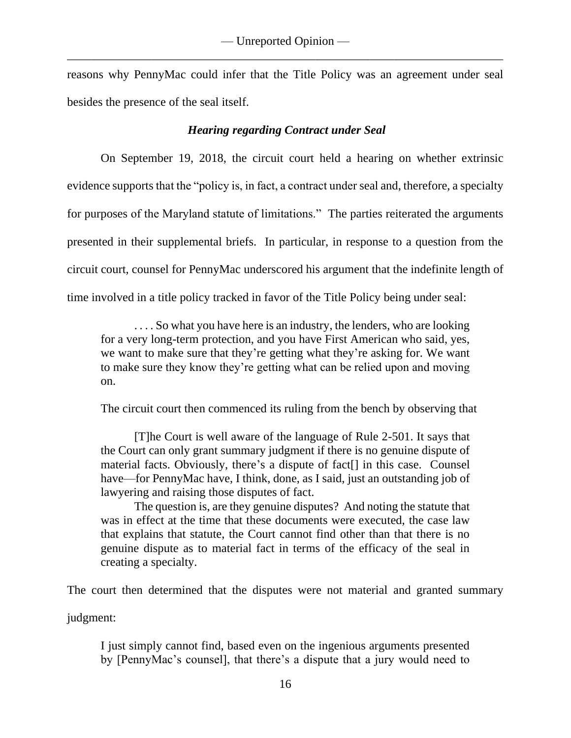reasons why PennyMac could infer that the Title Policy was an agreement under seal besides the presence of the seal itself.

## *Hearing regarding Contract under Seal*

On September 19, 2018, the circuit court held a hearing on whether extrinsic evidence supports that the "policy is, in fact, a contract under seal and, therefore, a specialty for purposes of the Maryland statute of limitations." The parties reiterated the arguments presented in their supplemental briefs. In particular, in response to a question from the circuit court, counsel for PennyMac underscored his argument that the indefinite length of time involved in a title policy tracked in favor of the Title Policy being under seal:

... So what you have here is an industry, the lenders, who are looking for a very long-term protection, and you have First American who said, yes, we want to make sure that they're getting what they're asking for. We want to make sure they know they're getting what can be relied upon and moving on.

The circuit court then commenced its ruling from the bench by observing that

[T]he Court is well aware of the language of Rule 2-501. It says that the Court can only grant summary judgment if there is no genuine dispute of material facts. Obviously, there's a dispute of fact[] in this case. Counsel have—for PennyMac have, I think, done, as I said, just an outstanding job of lawyering and raising those disputes of fact.

The question is, are they genuine disputes? And noting the statute that was in effect at the time that these documents were executed, the case law that explains that statute, the Court cannot find other than that there is no genuine dispute as to material fact in terms of the efficacy of the seal in creating a specialty.

The court then determined that the disputes were not material and granted summary

judgment:

I just simply cannot find, based even on the ingenious arguments presented by [PennyMac's counsel], that there's a dispute that a jury would need to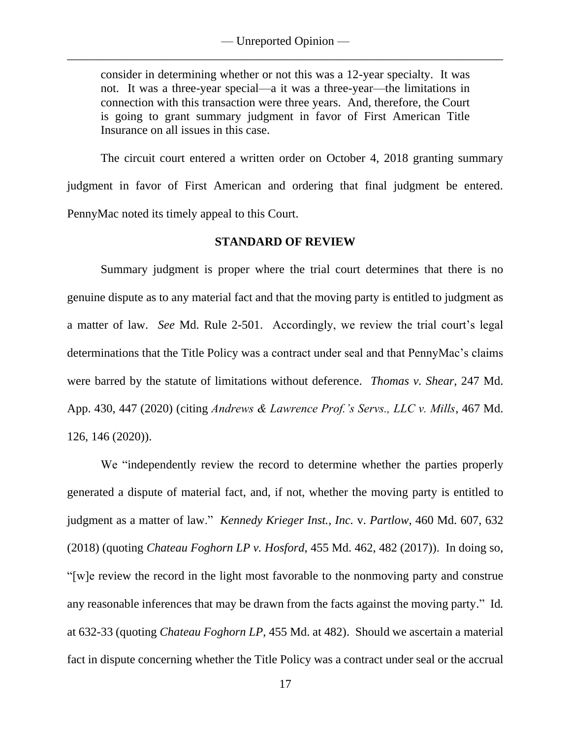consider in determining whether or not this was a 12-year specialty. It was not. It was a three-year special—a it was a three-year—the limitations in connection with this transaction were three years. And, therefore, the Court is going to grant summary judgment in favor of First American Title Insurance on all issues in this case.

The circuit court entered a written order on October 4, 2018 granting summary judgment in favor of First American and ordering that final judgment be entered. PennyMac noted its timely appeal to this Court.

### **STANDARD OF REVIEW**

Summary judgment is proper where the trial court determines that there is no genuine dispute as to any material fact and that the moving party is entitled to judgment as a matter of law. *See* Md. Rule 2-501. Accordingly, we review the trial court's legal determinations that the Title Policy was a contract under seal and that PennyMac's claims were barred by the statute of limitations without deference. *Thomas v. Shear*, 247 Md. App. 430, 447 (2020) (citing *Andrews & Lawrence Prof.'s Servs., LLC v. Mills*, 467 Md. 126, 146 (2020)).

We "independently review the record to determine whether the parties properly generated a dispute of material fact, and, if not, whether the moving party is entitled to judgment as a matter of law." *Kennedy Krieger Inst., Inc.* v. *Partlow*, 460 Md. 607, 632 (2018) (quoting *Chateau Foghorn LP v. Hosford*, 455 Md. 462, 482 (2017)). In doing so, "[w]e review the record in the light most favorable to the nonmoving party and construe any reasonable inferences that may be drawn from the facts against the moving party." Id*.* at 632-33 (quoting *Chateau Foghorn LP*, 455 Md. at 482). Should we ascertain a material fact in dispute concerning whether the Title Policy was a contract under seal or the accrual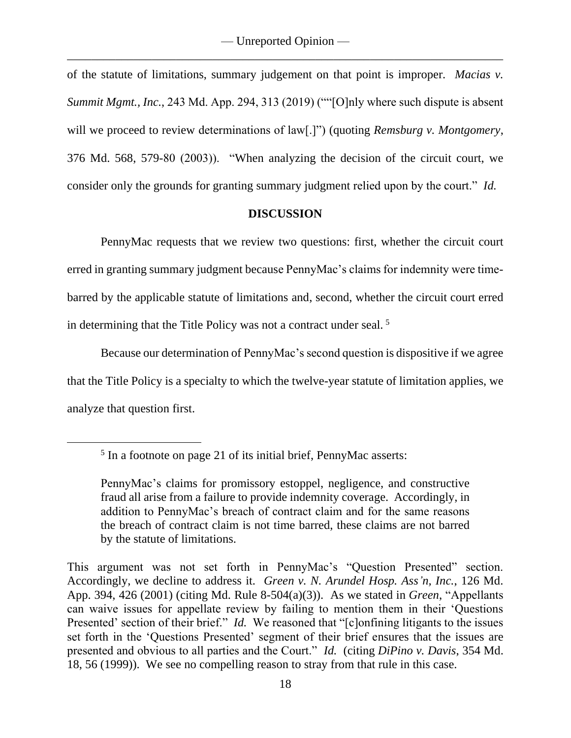of the statute of limitations, summary judgement on that point is improper. *Macias v. Summit Mgmt., Inc.*, 243 Md. App. 294, 313 (2019) (""[O]nly where such dispute is absent will we proceed to review determinations of law<sup>[1]</sup>. (quoting *Remsburg v. Montgomery*, 376 Md. 568, 579-80 (2003)). "When analyzing the decision of the circuit court, we consider only the grounds for granting summary judgment relied upon by the court." *Id.*

### **DISCUSSION**

PennyMac requests that we review two questions: first, whether the circuit court erred in granting summary judgment because PennyMac's claims for indemnity were timebarred by the applicable statute of limitations and, second, whether the circuit court erred in determining that the Title Policy was not a contract under seal.<sup>5</sup>

Because our determination of PennyMac's second question is dispositive if we agree that the Title Policy is a specialty to which the twelve-year statute of limitation applies, we analyze that question first.

This argument was not set forth in PennyMac's "Question Presented" section. Accordingly, we decline to address it. *Green v. N. Arundel Hosp. Ass'n, Inc.*, 126 Md. App. 394, 426 (2001) (citing Md. Rule 8-504(a)(3)). As we stated in *Green*, "Appellants can waive issues for appellate review by failing to mention them in their 'Questions Presented' section of their brief." *Id.* We reasoned that "[c]onfining litigants to the issues set forth in the 'Questions Presented' segment of their brief ensures that the issues are presented and obvious to all parties and the Court." *Id.* (citing *DiPino v. Davis*, 354 Md. 18, 56 (1999)). We see no compelling reason to stray from that rule in this case.

<sup>&</sup>lt;sup>5</sup> In a footnote on page 21 of its initial brief, PennyMac asserts:

PennyMac's claims for promissory estoppel, negligence, and constructive fraud all arise from a failure to provide indemnity coverage. Accordingly, in addition to PennyMac's breach of contract claim and for the same reasons the breach of contract claim is not time barred, these claims are not barred by the statute of limitations.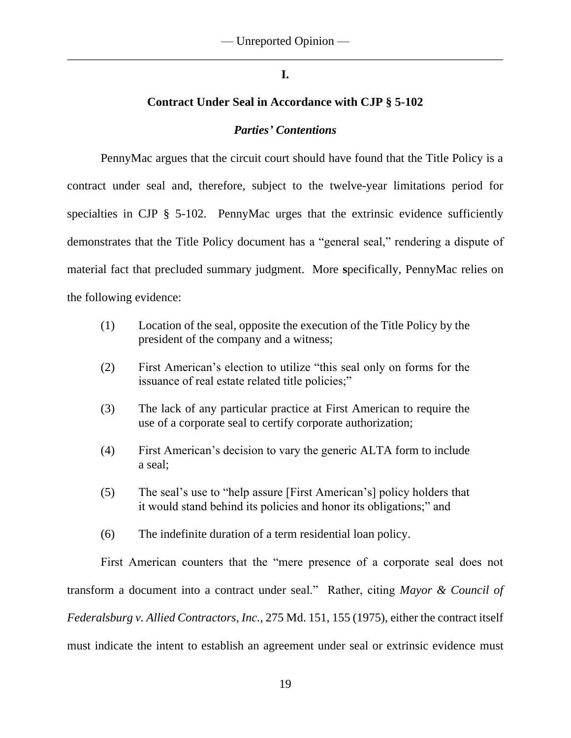## **I.**

## **Contract Under Seal in Accordance with CJP § 5-102**

## *Parties' Contentions*

PennyMac argues that the circuit court should have found that the Title Policy is a contract under seal and, therefore, subject to the twelve-year limitations period for specialties in CJP § 5-102.PennyMac urges that the extrinsic evidence sufficiently demonstrates that the Title Policy document has a "general seal," rendering a dispute of material fact that precluded summary judgment.More **s**pecifically, PennyMac relies on the following evidence:

- (1) Location of the seal, opposite the execution of the Title Policy by the president of the company and a witness;
- (2) First American's election to utilize "this seal only on forms for the issuance of real estate related title policies;"
- (3) The lack of any particular practice at First American to require the use of a corporate seal to certify corporate authorization;
- (4) First American's decision to vary the generic ALTA form to include a seal;
- (5) The seal's use to "help assure [First American's] policy holders that it would stand behind its policies and honor its obligations;" and
- (6) The indefinite duration of a term residential loan policy.

First American counters that the "mere presence of a corporate seal does not transform a document into a contract under seal." Rather, citing *Mayor & Council of Federalsburg v. Allied Contractors, Inc.*, 275 Md. 151, 155 (1975), either the contract itself must indicate the intent to establish an agreement under seal or extrinsic evidence must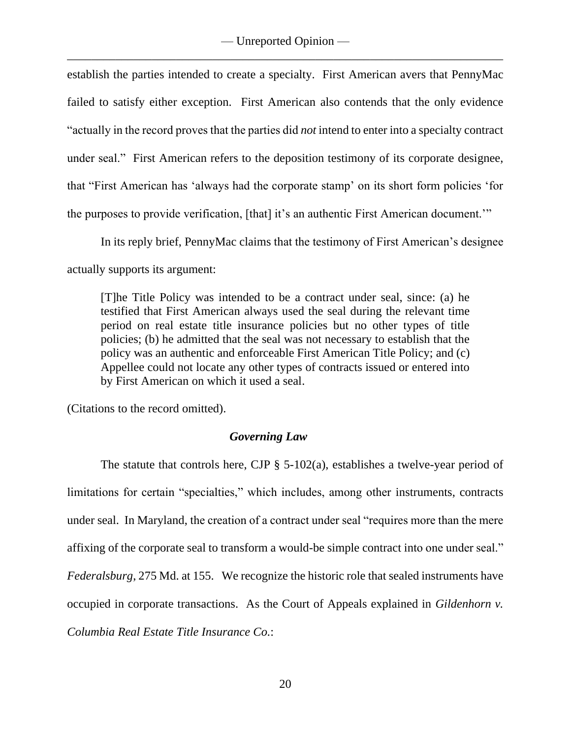establish the parties intended to create a specialty. First American avers that PennyMac failed to satisfy either exception. First American also contends that the only evidence "actually in the record proves that the parties did *not* intend to enter into a specialty contract under seal." First American refers to the deposition testimony of its corporate designee, that "First American has 'always had the corporate stamp' on its short form policies 'for the purposes to provide verification, [that] it's an authentic First American document.'"

In its reply brief, PennyMac claims that the testimony of First American's designee actually supports its argument:

[T]he Title Policy was intended to be a contract under seal, since: (a) he testified that First American always used the seal during the relevant time period on real estate title insurance policies but no other types of title policies; (b) he admitted that the seal was not necessary to establish that the policy was an authentic and enforceable First American Title Policy; and (c) Appellee could not locate any other types of contracts issued or entered into by First American on which it used a seal.

(Citations to the record omitted).

## *Governing Law*

The statute that controls here, CJP  $\S$  5-102(a), establishes a twelve-year period of limitations for certain "specialties," which includes, among other instruments, contracts under seal. In Maryland, the creation of a contract under seal "requires more than the mere affixing of the corporate seal to transform a would-be simple contract into one under seal." *Federalsburg*, 275 Md. at 155. We recognize the historic role that sealed instruments have occupied in corporate transactions. As the Court of Appeals explained in *Gildenhorn v. Columbia Real Estate Title Insurance Co.*: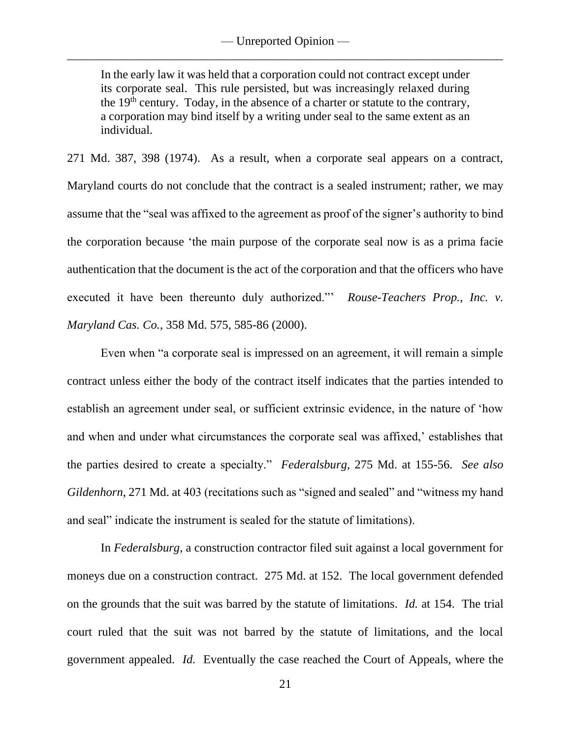In the early law it was held that a corporation could not contract except under its corporate seal. This rule persisted, but was increasingly relaxed during the  $19<sup>th</sup>$  century. Today, in the absence of a charter or statute to the contrary, a corporation may bind itself by a writing under seal to the same extent as an individual.

271 Md. 387, 398 (1974). As a result, when a corporate seal appears on a contract, Maryland courts do not conclude that the contract is a sealed instrument; rather, we may assume that the "seal was affixed to the agreement as proof of the signer's authority to bind the corporation because 'the main purpose of the corporate seal now is as a prima facie authentication that the document is the act of the corporation and that the officers who have executed it have been thereunto duly authorized."' *Rouse-Teachers Prop., Inc. v. Maryland Cas. Co.*, 358 Md. 575, 585-86 (2000).

Even when "a corporate seal is impressed on an agreement, it will remain a simple contract unless either the body of the contract itself indicates that the parties intended to establish an agreement under seal, or sufficient extrinsic evidence, in the nature of 'how and when and under what circumstances the corporate seal was affixed,' establishes that the parties desired to create a specialty." *Federalsburg*, 275 Md. at 155-56. *See also Gildenhorn*, 271 Md. at 403 (recitations such as "signed and sealed" and "witness my hand and seal" indicate the instrument is sealed for the statute of limitations).

In *Federalsburg*, a construction contractor filed suit against a local government for moneys due on a construction contract. 275 Md. at 152. The local government defended on the grounds that the suit was barred by the statute of limitations. *Id.* at 154. The trial court ruled that the suit was not barred by the statute of limitations, and the local government appealed. *Id.* Eventually the case reached the Court of Appeals, where the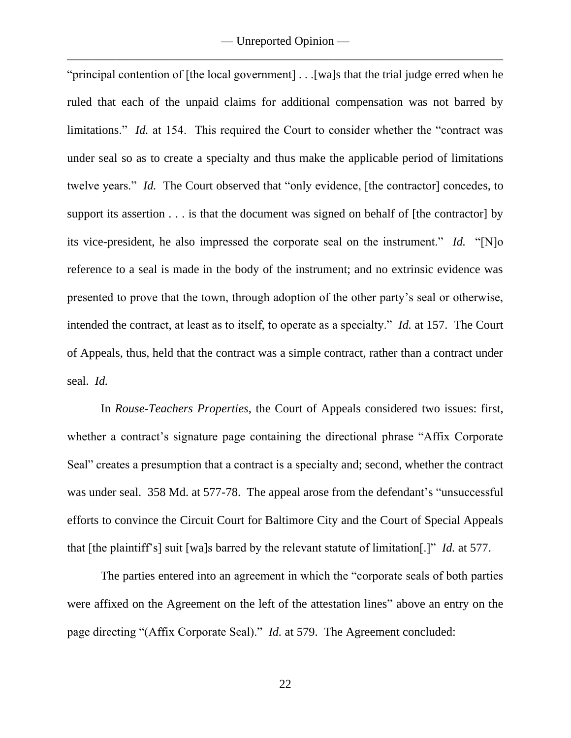"principal contention of [the local government] . . .[wa]s that the trial judge erred when he ruled that each of the unpaid claims for additional compensation was not barred by limitations." *Id.* at 154. This required the Court to consider whether the "contract was under seal so as to create a specialty and thus make the applicable period of limitations twelve years." *Id.* The Court observed that "only evidence, [the contractor] concedes, to support its assertion . . . is that the document was signed on behalf of [the contractor] by its vice-president, he also impressed the corporate seal on the instrument." *Id.* "[N]o reference to a seal is made in the body of the instrument; and no extrinsic evidence was presented to prove that the town, through adoption of the other party's seal or otherwise, intended the contract, at least as to itself, to operate as a specialty." *Id.* at 157. The Court of Appeals, thus, held that the contract was a simple contract, rather than a contract under seal. *Id.*

In *Rouse-Teachers Properties*, the Court of Appeals considered two issues: first, whether a contract's signature page containing the directional phrase "Affix Corporate Seal" creates a presumption that a contract is a specialty and; second, whether the contract was under seal. 358 Md. at 577-78. The appeal arose from the defendant's "unsuccessful efforts to convince the Circuit Court for Baltimore City and the Court of Special Appeals that [the plaintiff's] suit [wa]s barred by the relevant statute of limitation[.]" *Id.* at 577.

The parties entered into an agreement in which the "corporate seals of both parties were affixed on the Agreement on the left of the attestation lines" above an entry on the page directing "(Affix Corporate Seal)." *Id.* at 579. The Agreement concluded: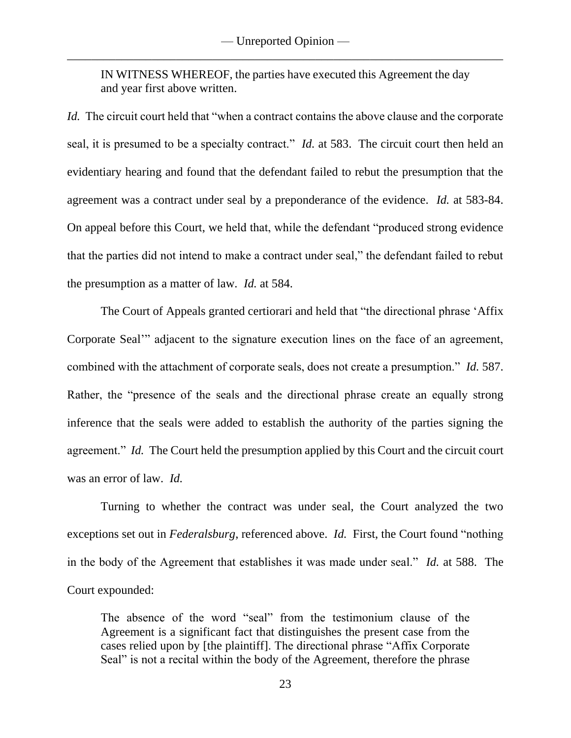IN WITNESS WHEREOF, the parties have executed this Agreement the day and year first above written.

*Id.* The circuit court held that "when a contract contains the above clause and the corporate seal, it is presumed to be a specialty contract." *Id.* at 583. The circuit court then held an evidentiary hearing and found that the defendant failed to rebut the presumption that the agreement was a contract under seal by a preponderance of the evidence. *Id.* at 583-84. On appeal before this Court, we held that, while the defendant "produced strong evidence that the parties did not intend to make a contract under seal," the defendant failed to rebut the presumption as a matter of law. *Id.* at 584.

The Court of Appeals granted certiorari and held that "the directional phrase 'Affix Corporate Seal'" adjacent to the signature execution lines on the face of an agreement, combined with the attachment of corporate seals, does not create a presumption." *Id.* 587. Rather, the "presence of the seals and the directional phrase create an equally strong inference that the seals were added to establish the authority of the parties signing the agreement." *Id.* The Court held the presumption applied by this Court and the circuit court was an error of law. *Id.* 

Turning to whether the contract was under seal, the Court analyzed the two exceptions set out in *Federalsburg*, referenced above. *Id.* First, the Court found "nothing in the body of the Agreement that establishes it was made under seal." *Id.* at 588. The Court expounded:

The absence of the word "seal" from the testimonium clause of the Agreement is a significant fact that distinguishes the present case from the cases relied upon by [the plaintiff]. The directional phrase "Affix Corporate Seal" is not a recital within the body of the Agreement, therefore the phrase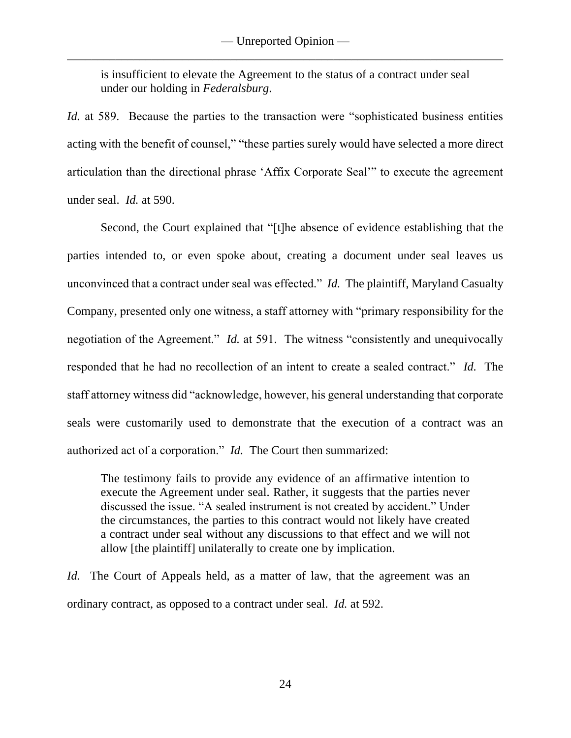is insufficient to elevate the Agreement to the status of a contract under seal under our holding in *Federalsburg*.

*Id.* at 589. Because the parties to the transaction were "sophisticated business entities acting with the benefit of counsel," "these parties surely would have selected a more direct articulation than the directional phrase 'Affix Corporate Seal'" to execute the agreement under seal. *Id.* at 590.

Second, the Court explained that "[t]he absence of evidence establishing that the parties intended to, or even spoke about, creating a document under seal leaves us unconvinced that a contract under seal was effected." *Id.* The plaintiff, Maryland Casualty Company, presented only one witness, a staff attorney with "primary responsibility for the negotiation of the Agreement." *Id.* at 591. The witness "consistently and unequivocally responded that he had no recollection of an intent to create a sealed contract." *Id.* The staff attorney witness did "acknowledge, however, his general understanding that corporate seals were customarily used to demonstrate that the execution of a contract was an authorized act of a corporation." *Id.* The Court then summarized:

The testimony fails to provide any evidence of an affirmative intention to execute the Agreement under seal. Rather, it suggests that the parties never discussed the issue. "A sealed instrument is not created by accident." Under the circumstances, the parties to this contract would not likely have created a contract under seal without any discussions to that effect and we will not allow [the plaintiff] unilaterally to create one by implication.

*Id.* The Court of Appeals held, as a matter of law, that the agreement was an ordinary contract, as opposed to a contract under seal. *Id.* at 592.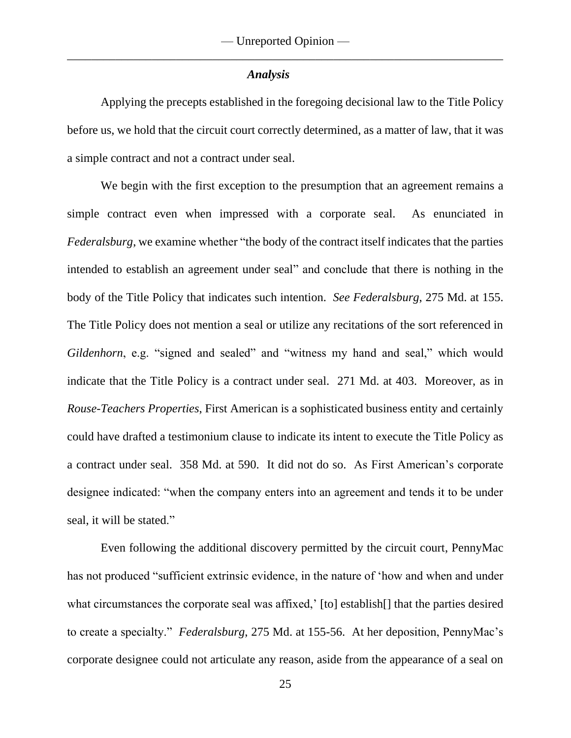#### *Analysis*

Applying the precepts established in the foregoing decisional law to the Title Policy before us, we hold that the circuit court correctly determined, as a matter of law, that it was a simple contract and not a contract under seal.

We begin with the first exception to the presumption that an agreement remains a simple contract even when impressed with a corporate seal. As enunciated in *Federalsburg*, we examine whether "the body of the contract itself indicates that the parties intended to establish an agreement under seal" and conclude that there is nothing in the body of the Title Policy that indicates such intention. *See Federalsburg*, 275 Md. at 155. The Title Policy does not mention a seal or utilize any recitations of the sort referenced in *Gildenhorn*, e.g. "signed and sealed" and "witness my hand and seal," which would indicate that the Title Policy is a contract under seal. 271 Md. at 403. Moreover, as in *Rouse-Teachers Properties*, First American is a sophisticated business entity and certainly could have drafted a testimonium clause to indicate its intent to execute the Title Policy as a contract under seal. 358 Md. at 590. It did not do so. As First American's corporate designee indicated: "when the company enters into an agreement and tends it to be under seal, it will be stated."

Even following the additional discovery permitted by the circuit court, PennyMac has not produced "sufficient extrinsic evidence, in the nature of 'how and when and under what circumstances the corporate seal was affixed,' [to] establish[] that the parties desired to create a specialty." *Federalsburg*, 275 Md. at 155-56. At her deposition, PennyMac's corporate designee could not articulate any reason, aside from the appearance of a seal on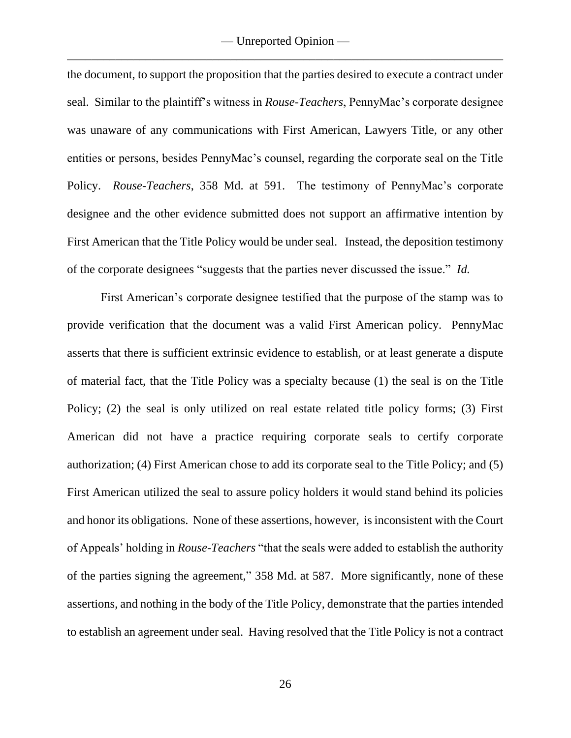the document, to support the proposition that the parties desired to execute a contract under seal. Similar to the plaintiff's witness in *Rouse-Teachers*, PennyMac's corporate designee was unaware of any communications with First American, Lawyers Title, or any other entities or persons, besides PennyMac's counsel, regarding the corporate seal on the Title Policy. *Rouse-Teachers*, 358 Md. at 591. The testimony of PennyMac's corporate designee and the other evidence submitted does not support an affirmative intention by First American that the Title Policy would be under seal. Instead, the deposition testimony of the corporate designees "suggests that the parties never discussed the issue." *Id.*

First American's corporate designee testified that the purpose of the stamp was to provide verification that the document was a valid First American policy. PennyMac asserts that there is sufficient extrinsic evidence to establish, or at least generate a dispute of material fact, that the Title Policy was a specialty because (1) the seal is on the Title Policy; (2) the seal is only utilized on real estate related title policy forms; (3) First American did not have a practice requiring corporate seals to certify corporate authorization; (4) First American chose to add its corporate seal to the Title Policy; and (5) First American utilized the seal to assure policy holders it would stand behind its policies and honor its obligations. None of these assertions, however, is inconsistent with the Court of Appeals' holding in *Rouse-Teachers* "that the seals were added to establish the authority of the parties signing the agreement," 358 Md. at 587. More significantly, none of these assertions, and nothing in the body of the Title Policy, demonstrate that the parties intended to establish an agreement under seal. Having resolved that the Title Policy is not a contract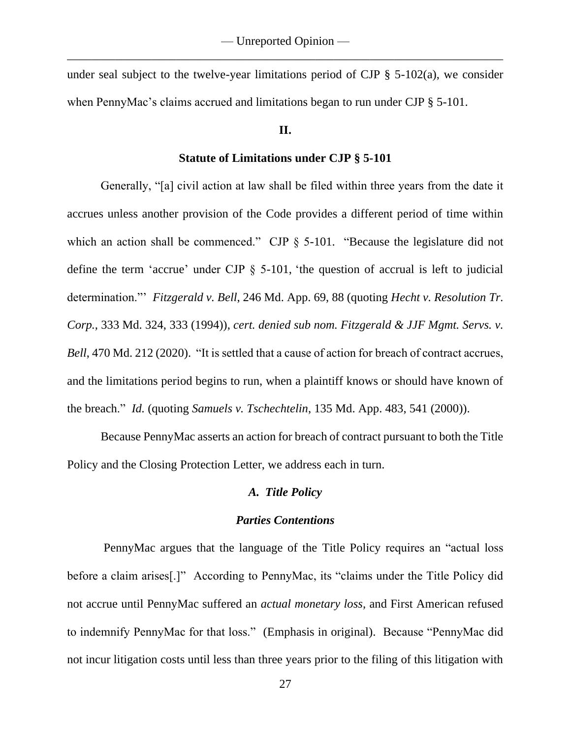under seal subject to the twelve-year limitations period of CJP  $\S$  5-102(a), we consider when PennyMac's claims accrued and limitations began to run under CJP § 5-101.

### **II.**

#### **Statute of Limitations under CJP § 5-101**

Generally, "[a] civil action at law shall be filed within three years from the date it accrues unless another provision of the Code provides a different period of time within which an action shall be commenced." CJP § 5-101. "Because the legislature did not define the term 'accrue' under CJP § 5-101, 'the question of accrual is left to judicial determination."' *Fitzgerald v. Bell*, 246 Md. App. 69, 88 (quoting *Hecht v. Resolution Tr. Corp.,* 333 Md. 324, 333 (1994)), *cert. denied sub nom. Fitzgerald & JJF Mgmt. Servs. v. Bell*, 470 Md. 212 (2020). "It is settled that a cause of action for breach of contract accrues, and the limitations period begins to run, when a plaintiff knows or should have known of the breach." *Id.* (quoting *Samuels v. Tschechtelin*, 135 Md. App. 483, 541 (2000)).

Because PennyMac asserts an action for breach of contract pursuant to both the Title Policy and the Closing Protection Letter, we address each in turn.

### *A. Title Policy*

#### *Parties Contentions*

PennyMac argues that the language of the Title Policy requires an "actual loss before a claim arises[.]"According to PennyMac, its "claims under the Title Policy did not accrue until PennyMac suffered an *actual monetary loss,* and First American refused to indemnify PennyMac for that loss."(Emphasis in original).Because "PennyMac did not incur litigation costs until less than three years prior to the filing of this litigation with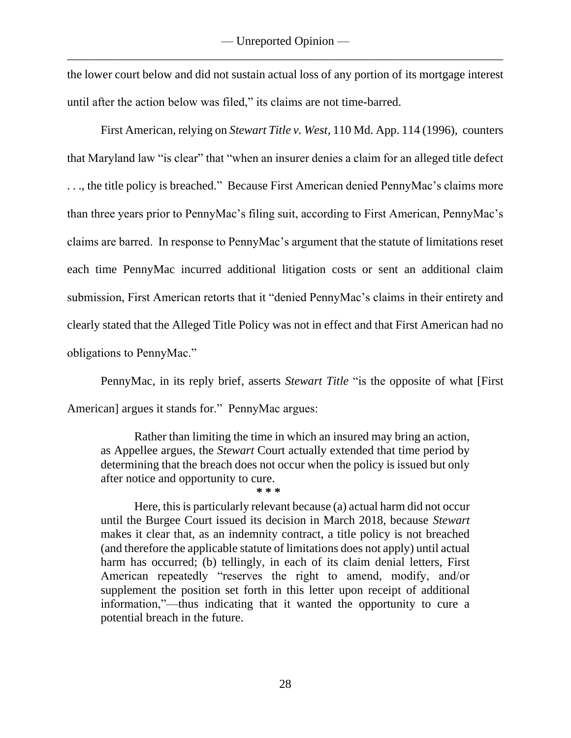the lower court below and did not sustain actual loss of any portion of its mortgage interest until after the action below was filed," its claims are not time-barred.

First American, relying on *Stewart Title v. West*, 110 Md. App. 114 (1996), counters that Maryland law "is clear" that "when an insurer denies a claim for an alleged title defect . . ., the title policy is breached." Because First American denied PennyMac's claims more than three years prior to PennyMac's filing suit, according to First American, PennyMac's claims are barred. In response to PennyMac's argument that the statute of limitations reset each time PennyMac incurred additional litigation costs or sent an additional claim submission, First American retorts that it "denied PennyMac's claims in their entirety and clearly stated that the Alleged Title Policy was not in effect and that First American had no obligations to PennyMac."

PennyMac, in its reply brief, asserts *Stewart Title* "is the opposite of what [First American] argues it stands for." PennyMac argues:

Rather than limiting the time in which an insured may bring an action, as Appellee argues, the *Stewart* Court actually extended that time period by determining that the breach does not occur when the policy is issued but only after notice and opportunity to cure. **\* \* \***

Here, this is particularly relevant because (a) actual harm did not occur until the Burgee Court issued its decision in March 2018, because *Stewart*  makes it clear that, as an indemnity contract, a title policy is not breached (and therefore the applicable statute of limitations does not apply) until actual harm has occurred; (b) tellingly, in each of its claim denial letters, First American repeatedly "reserves the right to amend, modify, and/or supplement the position set forth in this letter upon receipt of additional information,"—thus indicating that it wanted the opportunity to cure a potential breach in the future.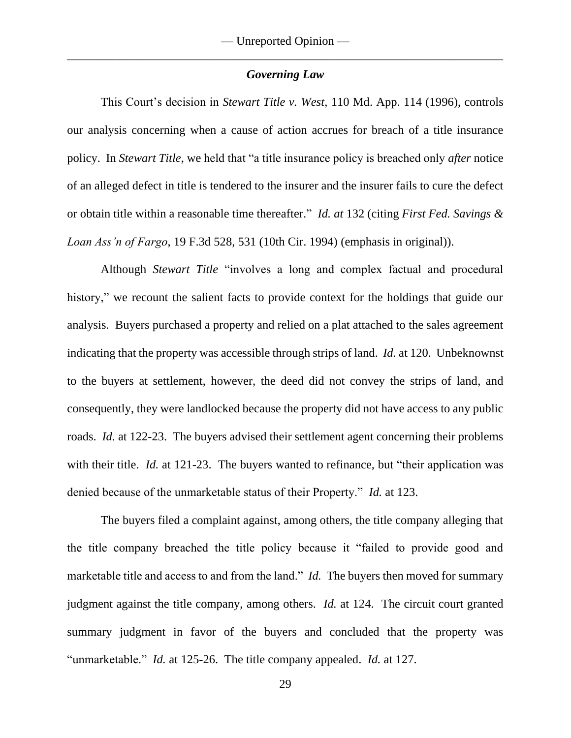#### *Governing Law*

This Court's decision in *Stewart Title v. West*, 110 Md. App. 114 (1996), controls our analysis concerning when a cause of action accrues for breach of a title insurance policy. In *Stewart Title*, we held that "a title insurance policy is breached only *after* notice of an alleged defect in title is tendered to the insurer and the insurer fails to cure the defect or obtain title within a reasonable time thereafter." *Id. at* 132 (citing *First Fed. Savings & Loan Ass'n of Fargo*, 19 F.3d 528, 531 (10th Cir. 1994) (emphasis in original)).

Although *Stewart Title* "involves a long and complex factual and procedural history," we recount the salient facts to provide context for the holdings that guide our analysis. Buyers purchased a property and relied on a plat attached to the sales agreement indicating that the property was accessible through strips of land. *Id.* at 120. Unbeknownst to the buyers at settlement, however, the deed did not convey the strips of land, and consequently, they were landlocked because the property did not have access to any public roads. *Id.* at 122-23. The buyers advised their settlement agent concerning their problems with their title. *Id.* at 121-23. The buyers wanted to refinance, but "their application was denied because of the unmarketable status of their Property." *Id.* at 123.

The buyers filed a complaint against, among others, the title company alleging that the title company breached the title policy because it "failed to provide good and marketable title and access to and from the land." *Id.* The buyers then moved for summary judgment against the title company, among others. *Id.* at 124. The circuit court granted summary judgment in favor of the buyers and concluded that the property was "unmarketable." *Id.* at 125-26. The title company appealed. *Id.* at 127.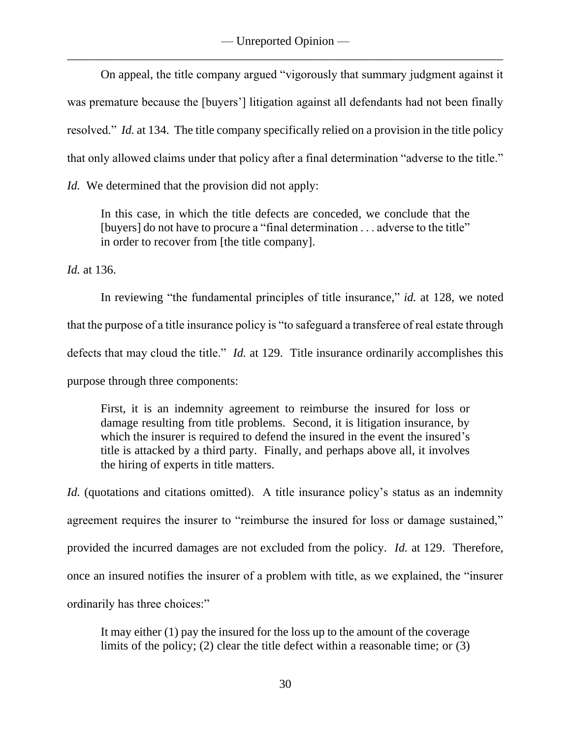On appeal, the title company argued "vigorously that summary judgment against it was premature because the [buyers'] litigation against all defendants had not been finally resolved." *Id.* at 134. The title company specifically relied on a provision in the title policy that only allowed claims under that policy after a final determination "adverse to the title."

*Id.* We determined that the provision did not apply:

In this case, in which the title defects are conceded, we conclude that the [buyers] do not have to procure a "final determination . . . adverse to the title" in order to recover from [the title company].

*Id.* at 136.

In reviewing "the fundamental principles of title insurance," *id.* at 128, we noted that the purpose of a title insurance policy is "to safeguard a transferee of real estate through defects that may cloud the title." *Id.* at 129. Title insurance ordinarily accomplishes this purpose through three components:

First, it is an indemnity agreement to reimburse the insured for loss or damage resulting from title problems. Second, it is litigation insurance, by which the insurer is required to defend the insured in the event the insured's title is attacked by a third party. Finally, and perhaps above all, it involves the hiring of experts in title matters.

*Id.* (quotations and citations omitted). A title insurance policy's status as an indemnity agreement requires the insurer to "reimburse the insured for loss or damage sustained," provided the incurred damages are not excluded from the policy. *Id.* at 129. Therefore, once an insured notifies the insurer of a problem with title, as we explained, the "insurer ordinarily has three choices:"

It may either (1) pay the insured for the loss up to the amount of the coverage limits of the policy; (2) clear the title defect within a reasonable time; or (3)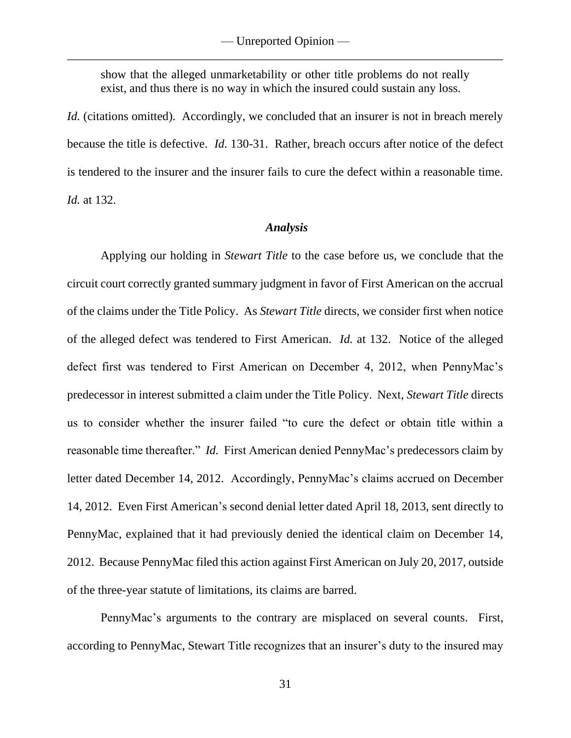show that the alleged unmarketability or other title problems do not really exist, and thus there is no way in which the insured could sustain any loss.

*Id.* (citations omitted). Accordingly, we concluded that an insurer is not in breach merely because the title is defective. *Id.* 130-31. Rather, breach occurs after notice of the defect is tendered to the insurer and the insurer fails to cure the defect within a reasonable time. *Id.* at 132.

### *Analysis*

Applying our holding in *Stewart Title* to the case before us, we conclude that the circuit court correctly granted summary judgment in favor of First American on the accrual of the claims under the Title Policy. As *Stewart Title* directs, we consider first when notice of the alleged defect was tendered to First American. *Id.* at 132. Notice of the alleged defect first was tendered to First American on December 4, 2012, when PennyMac's predecessor in interest submitted a claim under the Title Policy. Next, *Stewart Title* directs us to consider whether the insurer failed "to cure the defect or obtain title within a reasonable time thereafter." *Id.* First American denied PennyMac's predecessors claim by letter dated December 14, 2012. Accordingly, PennyMac's claims accrued on December 14, 2012. Even First American's second denial letter dated April 18, 2013, sent directly to PennyMac, explained that it had previously denied the identical claim on December 14, 2012. Because PennyMac filed this action against First American on July 20, 2017, outside of the three-year statute of limitations, its claims are barred.

PennyMac's arguments to the contrary are misplaced on several counts. First, according to PennyMac, Stewart Title recognizes that an insurer's duty to the insured may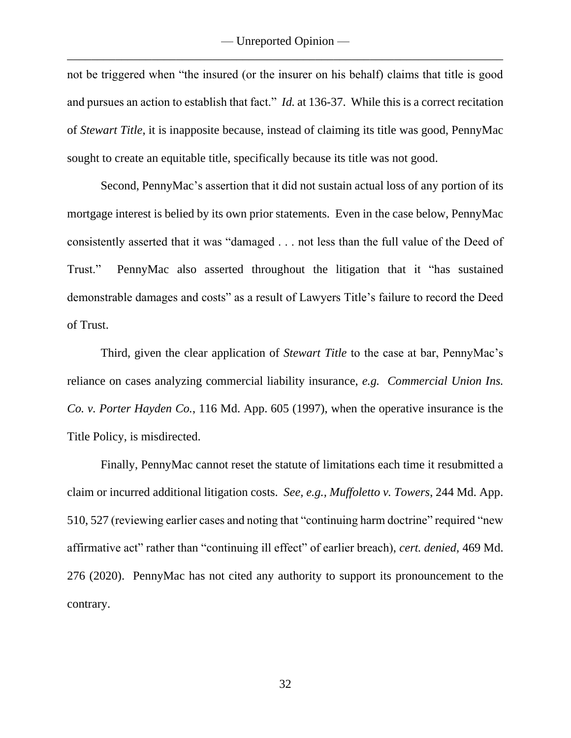not be triggered when "the insured (or the insurer on his behalf) claims that title is good and pursues an action to establish that fact." *Id.* at 136-37. While this is a correct recitation of *Stewart Title*, it is inapposite because, instead of claiming its title was good, PennyMac sought to create an equitable title, specifically because its title was not good.

Second, PennyMac's assertion that it did not sustain actual loss of any portion of its mortgage interest is belied by its own prior statements. Even in the case below, PennyMac consistently asserted that it was "damaged . . . not less than the full value of the Deed of Trust." PennyMac also asserted throughout the litigation that it "has sustained demonstrable damages and costs" as a result of Lawyers Title's failure to record the Deed of Trust.

Third, given the clear application of *Stewart Title* to the case at bar, PennyMac's reliance on cases analyzing commercial liability insurance, *e.g. Commercial Union Ins. Co. v. Porter Hayden Co.*, 116 Md. App. 605 (1997), when the operative insurance is the Title Policy, is misdirected.

Finally, PennyMac cannot reset the statute of limitations each time it resubmitted a claim or incurred additional litigation costs. *See, e.g., Muffoletto v. Towers*, 244 Md. App. 510, 527 (reviewing earlier cases and noting that "continuing harm doctrine" required "new affirmative act" rather than "continuing ill effect" of earlier breach), *cert. denied,* 469 Md. 276 (2020). PennyMac has not cited any authority to support its pronouncement to the contrary.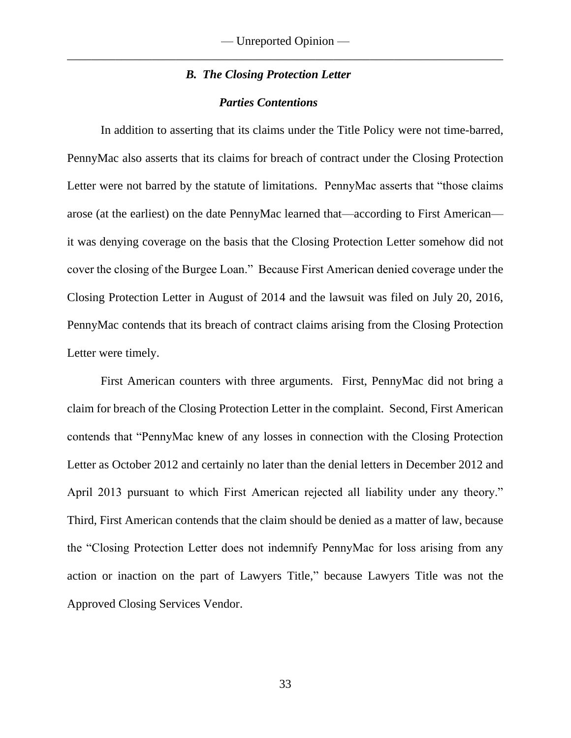### *B. The Closing Protection Letter*

### *Parties Contentions*

In addition to asserting that its claims under the Title Policy were not time-barred, PennyMac also asserts that its claims for breach of contract under the Closing Protection Letter were not barred by the statute of limitations.PennyMac asserts that "those claims arose (at the earliest) on the date PennyMac learned that—according to First American it was denying coverage on the basis that the Closing Protection Letter somehow did not cover the closing of the Burgee Loan." Because First American denied coverage under the Closing Protection Letter in August of 2014 and the lawsuit was filed on July 20, 2016, PennyMac contends that its breach of contract claims arising from the Closing Protection Letter were timely.

First American counters with three arguments. First, PennyMac did not bring a claim for breach of the Closing Protection Letter in the complaint. Second, First American contends that "PennyMac knew of any losses in connection with the Closing Protection Letter as October 2012 and certainly no later than the denial letters in December 2012 and April 2013 pursuant to which First American rejected all liability under any theory." Third, First American contends that the claim should be denied as a matter of law, because the "Closing Protection Letter does not indemnify PennyMac for loss arising from any action or inaction on the part of Lawyers Title," because Lawyers Title was not the Approved Closing Services Vendor.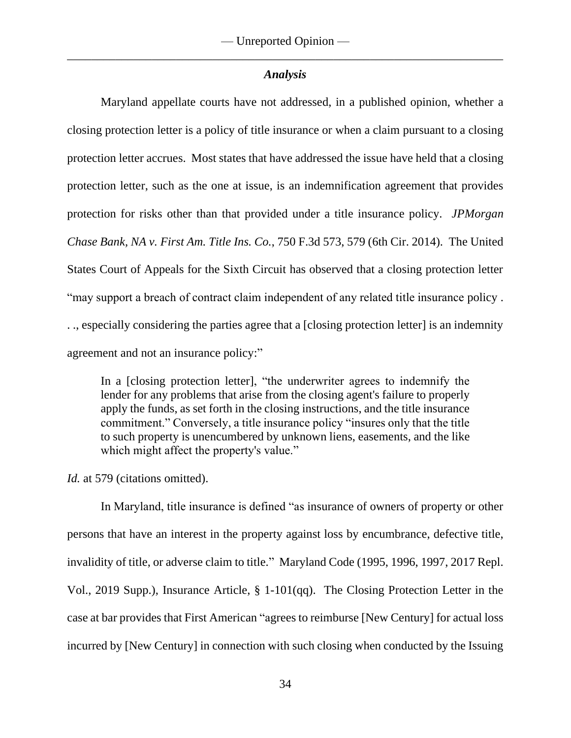## *Analysis*

Maryland appellate courts have not addressed, in a published opinion, whether a closing protection letter is a policy of title insurance or when a claim pursuant to a closing protection letter accrues. Most states that have addressed the issue have held that a closing protection letter, such as the one at issue, is an indemnification agreement that provides protection for risks other than that provided under a title insurance policy. *JPMorgan Chase Bank, NA v. First Am. Title Ins. Co.*, 750 F.3d 573, 579 (6th Cir. 2014). The United States Court of Appeals for the Sixth Circuit has observed that a closing protection letter "may support a breach of contract claim independent of any related title insurance policy . . ., especially considering the parties agree that a [closing protection letter] is an indemnity agreement and not an insurance policy:"

In a [closing protection letter], "the underwriter agrees to indemnify the lender for any problems that arise from the closing agent's failure to properly apply the funds, as set forth in the closing instructions, and the title insurance commitment." Conversely, a title insurance policy "insures only that the title to such property is unencumbered by unknown liens, easements, and the like which might affect the property's value."

*Id.* at 579 (citations omitted).

In Maryland, title insurance is defined "as insurance of owners of property or other persons that have an interest in the property against loss by encumbrance, defective title, invalidity of title, or adverse claim to title." Maryland Code (1995, 1996, 1997, 2017 Repl. Vol., 2019 Supp.), Insurance Article, § 1-101(qq). The Closing Protection Letter in the case at bar provides that First American "agrees to reimburse [New Century] for actual loss incurred by [New Century] in connection with such closing when conducted by the Issuing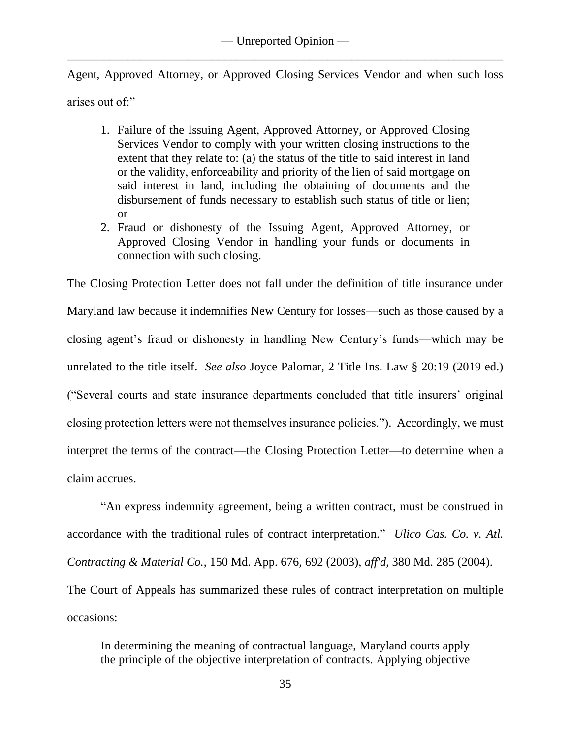Agent, Approved Attorney, or Approved Closing Services Vendor and when such loss arises out of:"

- 1. Failure of the Issuing Agent, Approved Attorney, or Approved Closing Services Vendor to comply with your written closing instructions to the extent that they relate to: (a) the status of the title to said interest in land or the validity, enforceability and priority of the lien of said mortgage on said interest in land, including the obtaining of documents and the disbursement of funds necessary to establish such status of title or lien; or
- 2. Fraud or dishonesty of the Issuing Agent, Approved Attorney, or Approved Closing Vendor in handling your funds or documents in connection with such closing.

The Closing Protection Letter does not fall under the definition of title insurance under Maryland law because it indemnifies New Century for losses—such as those caused by a closing agent's fraud or dishonesty in handling New Century's funds—which may be unrelated to the title itself. *See also* Joyce Palomar, 2 Title Ins. Law § 20:19 (2019 ed.) ("Several courts and state insurance departments concluded that title insurers' original closing protection letters were not themselves insurance policies."). Accordingly, we must interpret the terms of the contract—the Closing Protection Letter—to determine when a claim accrues.

"An express indemnity agreement, being a written contract, must be construed in accordance with the traditional rules of contract interpretation." *Ulico Cas. Co. v. Atl. Contracting & Material Co.*, 150 Md. App. 676, 692 (2003), *aff'd*, 380 Md. 285 (2004). The Court of Appeals has summarized these rules of contract interpretation on multiple occasions:

In determining the meaning of contractual language, Maryland courts apply the principle of the objective interpretation of contracts. Applying objective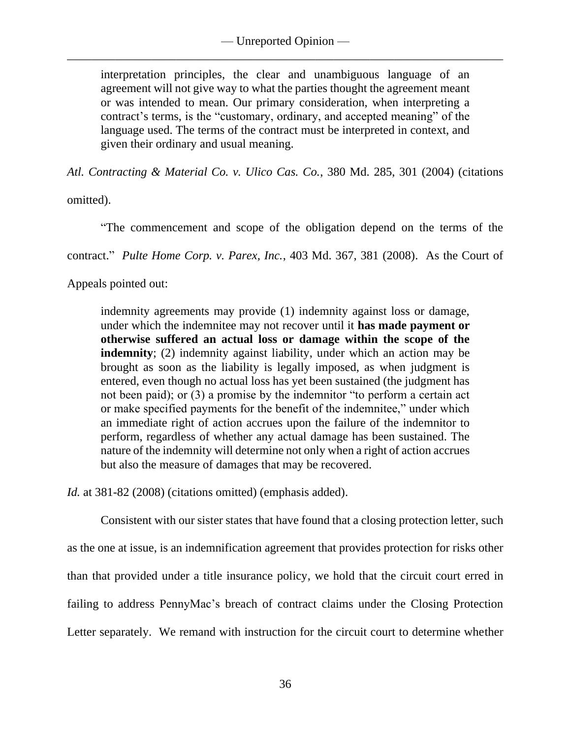interpretation principles, the clear and unambiguous language of an agreement will not give way to what the parties thought the agreement meant or was intended to mean. Our primary consideration, when interpreting a contract's terms, is the "customary, ordinary, and accepted meaning" of the language used. The terms of the contract must be interpreted in context, and given their ordinary and usual meaning.

*Atl. Contracting & Material Co. v. Ulico Cas. Co.*, 380 Md. 285, 301 (2004) (citations

omitted).

"The commencement and scope of the obligation depend on the terms of the

contract." *Pulte Home Corp. v. Parex, Inc.*, 403 Md. 367, 381 (2008). As the Court of

Appeals pointed out:

indemnity agreements may provide (1) indemnity against loss or damage, under which the indemnitee may not recover until it **has made payment or otherwise suffered an actual loss or damage within the scope of the indemnity**; (2) indemnity against liability, under which an action may be brought as soon as the liability is legally imposed, as when judgment is entered, even though no actual loss has yet been sustained (the judgment has not been paid); or (3) a promise by the indemnitor "to perform a certain act or make specified payments for the benefit of the indemnitee," under which an immediate right of action accrues upon the failure of the indemnitor to perform, regardless of whether any actual damage has been sustained. The nature of the indemnity will determine not only when a right of action accrues but also the measure of damages that may be recovered.

*Id.* at 381-82 (2008) (citations omitted) (emphasis added).

Consistent with our sister states that have found that a closing protection letter, such as the one at issue, is an indemnification agreement that provides protection for risks other than that provided under a title insurance policy, we hold that the circuit court erred in failing to address PennyMac's breach of contract claims under the Closing Protection Letter separately. We remand with instruction for the circuit court to determine whether